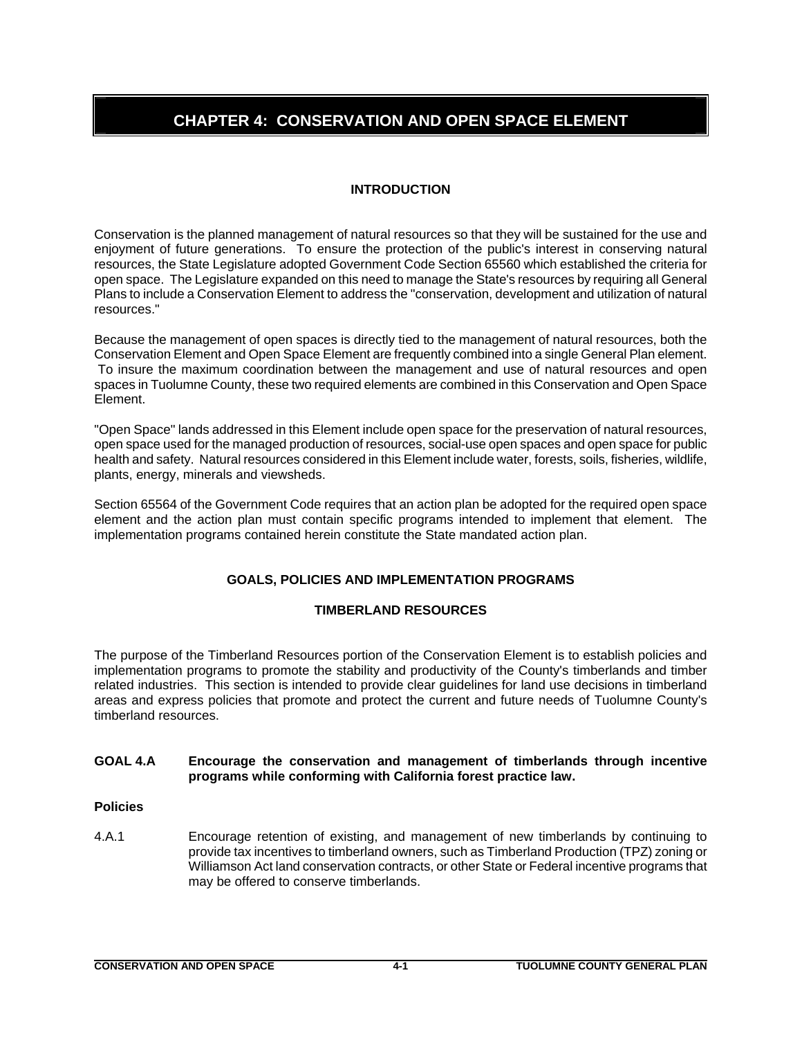# **CHAPTER 4: CONSERVATION AND OPEN SPACE ELEMENT**

# **INTRODUCTION**

Conservation is the planned management of natural resources so that they will be sustained for the use and enjoyment of future generations. To ensure the protection of the public's interest in conserving natural resources, the State Legislature adopted Government Code Section 65560 which established the criteria for open space. The Legislature expanded on this need to manage the State's resources by requiring all General Plans to include a Conservation Element to address the "conservation, development and utilization of natural resources."

Because the management of open spaces is directly tied to the management of natural resources, both the Conservation Element and Open Space Element are frequently combined into a single General Plan element. To insure the maximum coordination between the management and use of natural resources and open spaces in Tuolumne County, these two required elements are combined in this Conservation and Open Space Element.

"Open Space" lands addressed in this Element include open space for the preservation of natural resources, open space used for the managed production of resources, social-use open spaces and open space for public health and safety. Natural resources considered in this Element include water, forests, soils, fisheries, wildlife, plants, energy, minerals and viewsheds.

Section 65564 of the Government Code requires that an action plan be adopted for the required open space element and the action plan must contain specific programs intended to implement that element. The implementation programs contained herein constitute the State mandated action plan.

# **GOALS, POLICIES AND IMPLEMENTATION PROGRAMS**

# **TIMBERLAND RESOURCES**

The purpose of the Timberland Resources portion of the Conservation Element is to establish policies and implementation programs to promote the stability and productivity of the County's timberlands and timber related industries. This section is intended to provide clear guidelines for land use decisions in timberland areas and express policies that promote and protect the current and future needs of Tuolumne County's timberland resources.

## **GOAL 4.A Encourage the conservation and management of timberlands through incentive programs while conforming with California forest practice law.**

## **Policies**

4.A.1 Encourage retention of existing, and management of new timberlands by continuing to provide tax incentives to timberland owners, such as Timberland Production (TPZ) zoning or Williamson Act land conservation contracts, or other State or Federal incentive programs that may be offered to conserve timberlands.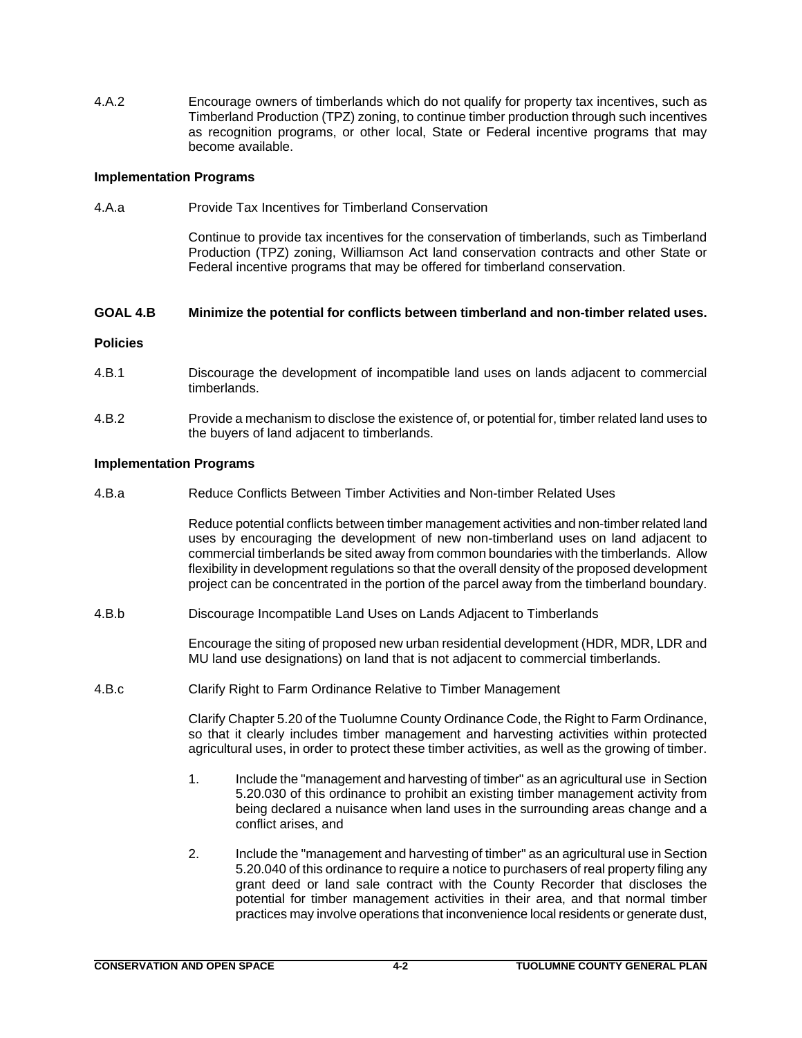4.A.2 Encourage owners of timberlands which do not qualify for property tax incentives, such as Timberland Production (TPZ) zoning, to continue timber production through such incentives as recognition programs, or other local, State or Federal incentive programs that may become available.

# **Implementation Programs**

4.A.a Provide Tax Incentives for Timberland Conservation

Continue to provide tax incentives for the conservation of timberlands, such as Timberland Production (TPZ) zoning, Williamson Act land conservation contracts and other State or Federal incentive programs that may be offered for timberland conservation.

## **GOAL 4.B Minimize the potential for conflicts between timberland and non-timber related uses.**

## **Policies**

- 4.B.1 Discourage the development of incompatible land uses on lands adjacent to commercial timberlands.
- 4.B.2 Provide a mechanism to disclose the existence of, or potential for, timber related land uses to the buyers of land adjacent to timberlands.

# **Implementation Programs**

4.B.a Reduce Conflicts Between Timber Activities and Non-timber Related Uses

Reduce potential conflicts between timber management activities and non-timber related land uses by encouraging the development of new non-timberland uses on land adjacent to commercial timberlands be sited away from common boundaries with the timberlands. Allow flexibility in development regulations so that the overall density of the proposed development project can be concentrated in the portion of the parcel away from the timberland boundary.

4.B.b Discourage Incompatible Land Uses on Lands Adjacent to Timberlands

Encourage the siting of proposed new urban residential development (HDR, MDR, LDR and MU land use designations) on land that is not adjacent to commercial timberlands.

4.B.c Clarify Right to Farm Ordinance Relative to Timber Management

Clarify Chapter 5.20 of the Tuolumne County Ordinance Code, the Right to Farm Ordinance, so that it clearly includes timber management and harvesting activities within protected agricultural uses, in order to protect these timber activities, as well as the growing of timber.

- 1. Include the "management and harvesting of timber" as an agricultural use in Section 5.20.030 of this ordinance to prohibit an existing timber management activity from being declared a nuisance when land uses in the surrounding areas change and a conflict arises, and
- 2. Include the "management and harvesting of timber" as an agricultural use in Section 5.20.040 of this ordinance to require a notice to purchasers of real property filing any grant deed or land sale contract with the County Recorder that discloses the potential for timber management activities in their area, and that normal timber practices may involve operations that inconvenience local residents or generate dust,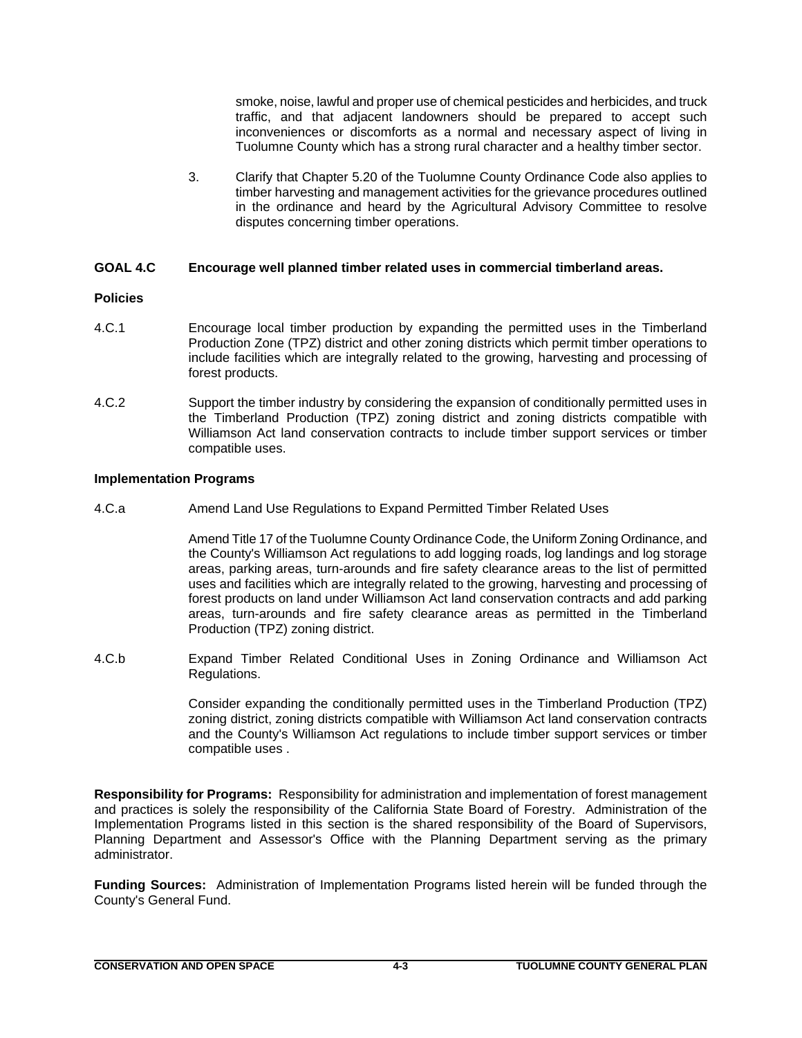smoke, noise, lawful and proper use of chemical pesticides and herbicides, and truck traffic, and that adjacent landowners should be prepared to accept such inconveniences or discomforts as a normal and necessary aspect of living in Tuolumne County which has a strong rural character and a healthy timber sector.

3. Clarify that Chapter 5.20 of the Tuolumne County Ordinance Code also applies to timber harvesting and management activities for the grievance procedures outlined in the ordinance and heard by the Agricultural Advisory Committee to resolve disputes concerning timber operations.

# **GOAL 4.C Encourage well planned timber related uses in commercial timberland areas.**

# **Policies**

- 4.C.1 Encourage local timber production by expanding the permitted uses in the Timberland Production Zone (TPZ) district and other zoning districts which permit timber operations to include facilities which are integrally related to the growing, harvesting and processing of forest products.
- 4.C.2 Support the timber industry by considering the expansion of conditionally permitted uses in the Timberland Production (TPZ) zoning district and zoning districts compatible with Williamson Act land conservation contracts to include timber support services or timber compatible uses.

# **Implementation Programs**

4.C.a Amend Land Use Regulations to Expand Permitted Timber Related Uses

Amend Title 17 of the Tuolumne County Ordinance Code, the Uniform Zoning Ordinance, and the County's Williamson Act regulations to add logging roads, log landings and log storage areas, parking areas, turn-arounds and fire safety clearance areas to the list of permitted uses and facilities which are integrally related to the growing, harvesting and processing of forest products on land under Williamson Act land conservation contracts and add parking areas, turn-arounds and fire safety clearance areas as permitted in the Timberland Production (TPZ) zoning district.

4.C.b Expand Timber Related Conditional Uses in Zoning Ordinance and Williamson Act Regulations.

> Consider expanding the conditionally permitted uses in the Timberland Production (TPZ) zoning district, zoning districts compatible with Williamson Act land conservation contracts and the County's Williamson Act regulations to include timber support services or timber compatible uses .

**Responsibility for Programs:** Responsibility for administration and implementation of forest management and practices is solely the responsibility of the California State Board of Forestry. Administration of the Implementation Programs listed in this section is the shared responsibility of the Board of Supervisors, Planning Department and Assessor's Office with the Planning Department serving as the primary administrator.

**Funding Sources:** Administration of Implementation Programs listed herein will be funded through the County's General Fund.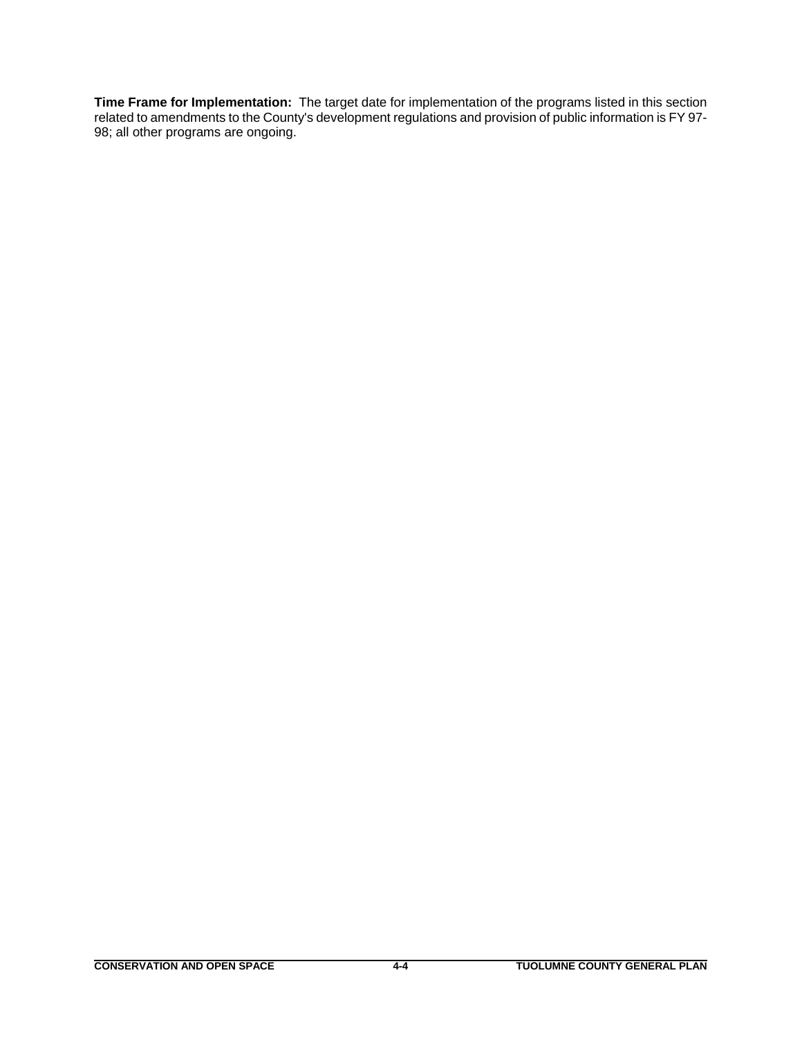**Time Frame for Implementation:** The target date for implementation of the programs listed in this section related to amendments to the County's development regulations and provision of public information is FY 97- 98; all other programs are ongoing.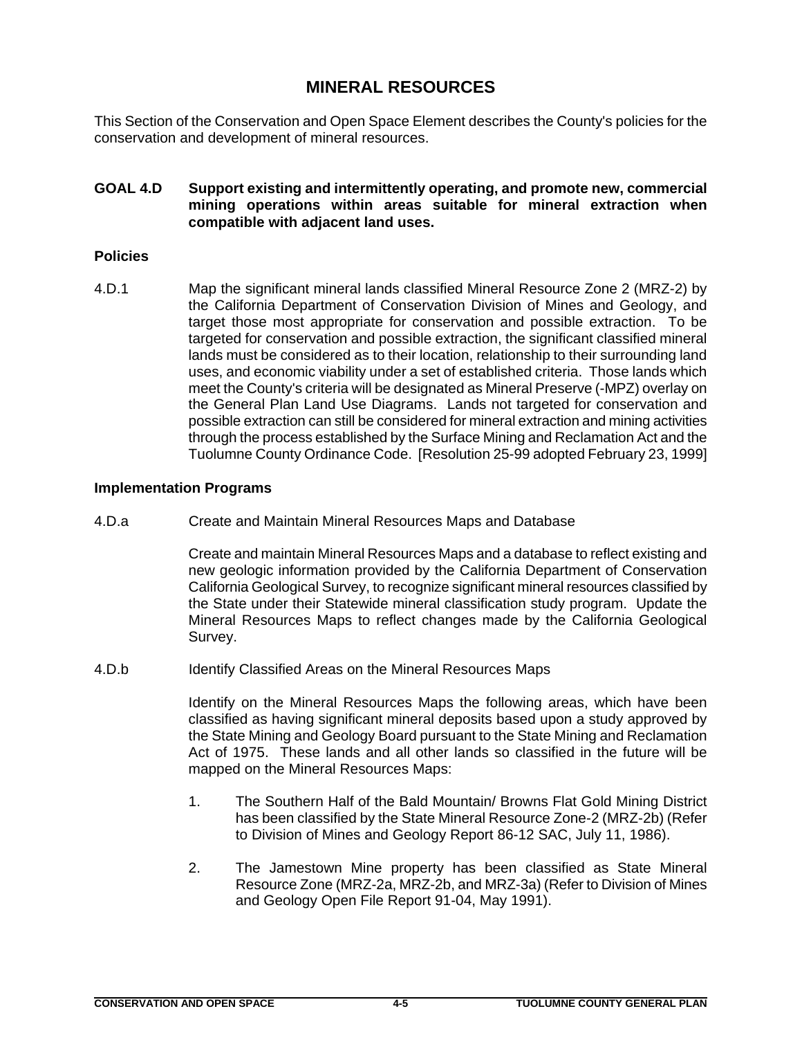# **MINERAL RESOURCES**

This Section of the Conservation and Open Space Element describes the County's policies for the conservation and development of mineral resources.

# **GOAL 4.D Support existing and intermittently operating, and promote new, commercial mining operations within areas suitable for mineral extraction when compatible with adjacent land uses.**

# **Policies**

4.D.1 Map the significant mineral lands classified Mineral Resource Zone 2 (MRZ-2) by the California Department of Conservation Division of Mines and Geology, and target those most appropriate for conservation and possible extraction. To be targeted for conservation and possible extraction, the significant classified mineral lands must be considered as to their location, relationship to their surrounding land uses, and economic viability under a set of established criteria. Those lands which meet the County's criteria will be designated as Mineral Preserve (-MPZ) overlay on the General Plan Land Use Diagrams. Lands not targeted for conservation and possible extraction can still be considered for mineral extraction and mining activities through the process established by the Surface Mining and Reclamation Act and the Tuolumne County Ordinance Code. [Resolution 25-99 adopted February 23, 1999]

# **Implementation Programs**

4.D.a Create and Maintain Mineral Resources Maps and Database

Create and maintain Mineral Resources Maps and a database to reflect existing and new geologic information provided by the California Department of Conservation California Geological Survey, to recognize significant mineral resources classified by the State under their Statewide mineral classification study program. Update the Mineral Resources Maps to reflect changes made by the California Geological Survey.

4.D.b Identify Classified Areas on the Mineral Resources Maps

Identify on the Mineral Resources Maps the following areas, which have been classified as having significant mineral deposits based upon a study approved by the State Mining and Geology Board pursuant to the State Mining and Reclamation Act of 1975. These lands and all other lands so classified in the future will be mapped on the Mineral Resources Maps:

- 1. The Southern Half of the Bald Mountain/ Browns Flat Gold Mining District has been classified by the State Mineral Resource Zone-2 (MRZ-2b) (Refer to Division of Mines and Geology Report 86-12 SAC, July 11, 1986).
- 2. The Jamestown Mine property has been classified as State Mineral Resource Zone (MRZ-2a, MRZ-2b, and MRZ-3a) (Refer to Division of Mines and Geology Open File Report 91-04, May 1991).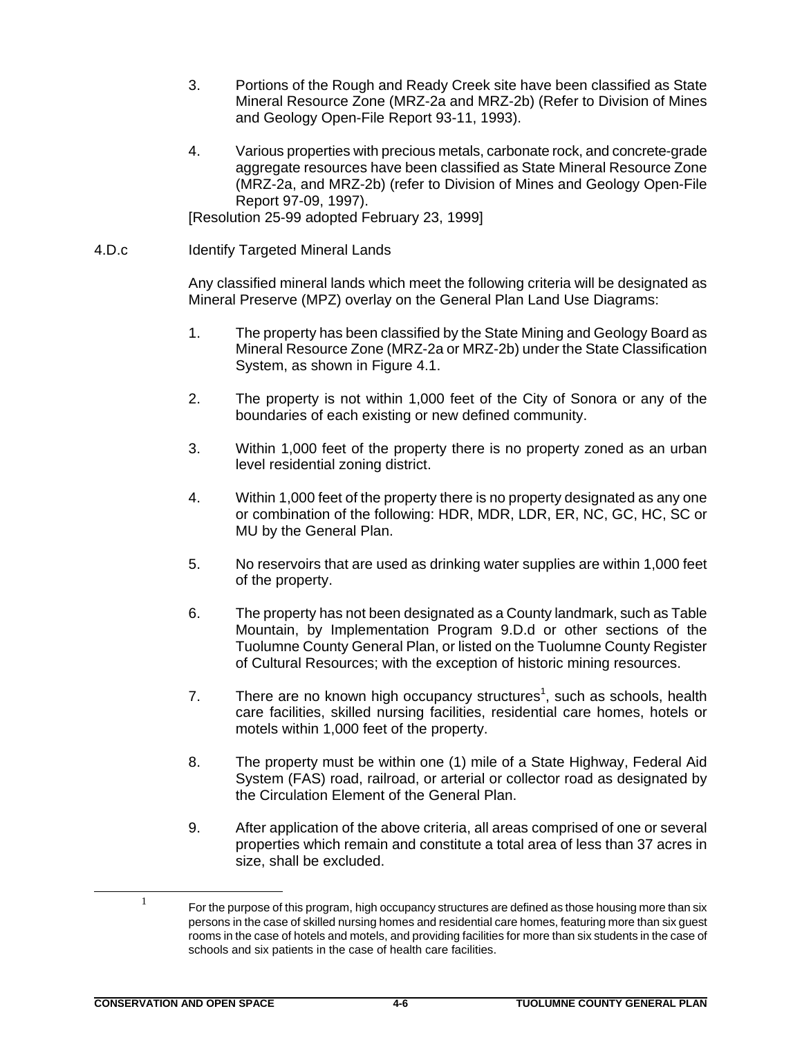- 3. Portions of the Rough and Ready Creek site have been classified as State Mineral Resource Zone (MRZ-2a and MRZ-2b) (Refer to Division of Mines and Geology Open-File Report 93-11, 1993).
- 4. Various properties with precious metals, carbonate rock, and concrete-grade aggregate resources have been classified as State Mineral Resource Zone (MRZ-2a, and MRZ-2b) (refer to Division of Mines and Geology Open-File Report 97-09, 1997).

[Resolution 25-99 adopted February 23, 1999]

4.D.c Identify Targeted Mineral Lands

Any classified mineral lands which meet the following criteria will be designated as Mineral Preserve (MPZ) overlay on the General Plan Land Use Diagrams:

- 1. The property has been classified by the State Mining and Geology Board as Mineral Resource Zone (MRZ-2a or MRZ-2b) under the State Classification System, as shown in Figure 4.1.
- 2. The property is not within 1,000 feet of the City of Sonora or any of the boundaries of each existing or new defined community.
- 3. Within 1,000 feet of the property there is no property zoned as an urban level residential zoning district.
- 4. Within 1,000 feet of the property there is no property designated as any one or combination of the following: HDR, MDR, LDR, ER, NC, GC, HC, SC or MU by the General Plan.
- 5. No reservoirs that are used as drinking water supplies are within 1,000 feet of the property.
- 6. The property has not been designated as a County landmark, such as Table Mountain, by Implementation Program 9.D.d or other sections of the Tuolumne County General Plan, or listed on the Tuolumne County Register of Cultural Resources; with the exception of historic mining resources.
- 7. There are no known high occupancy structures<sup>1</sup>, such as schools, health care facilities, skilled nursing facilities, residential care homes, hotels or motels within 1,000 feet of the property.
- 8. The property must be within one (1) mile of a State Highway, Federal Aid System (FAS) road, railroad, or arterial or collector road as designated by the Circulation Element of the General Plan.
- 9. After application of the above criteria, all areas comprised of one or several properties which remain and constitute a total area of less than 37 acres in size, shall be excluded.

 $1$  For the purpose of this program, high occupancy structures are defined as those housing more than six persons in the case of skilled nursing homes and residential care homes, featuring more than six guest rooms in the case of hotels and motels, and providing facilities for more than six students in the case of schools and six patients in the case of health care facilities.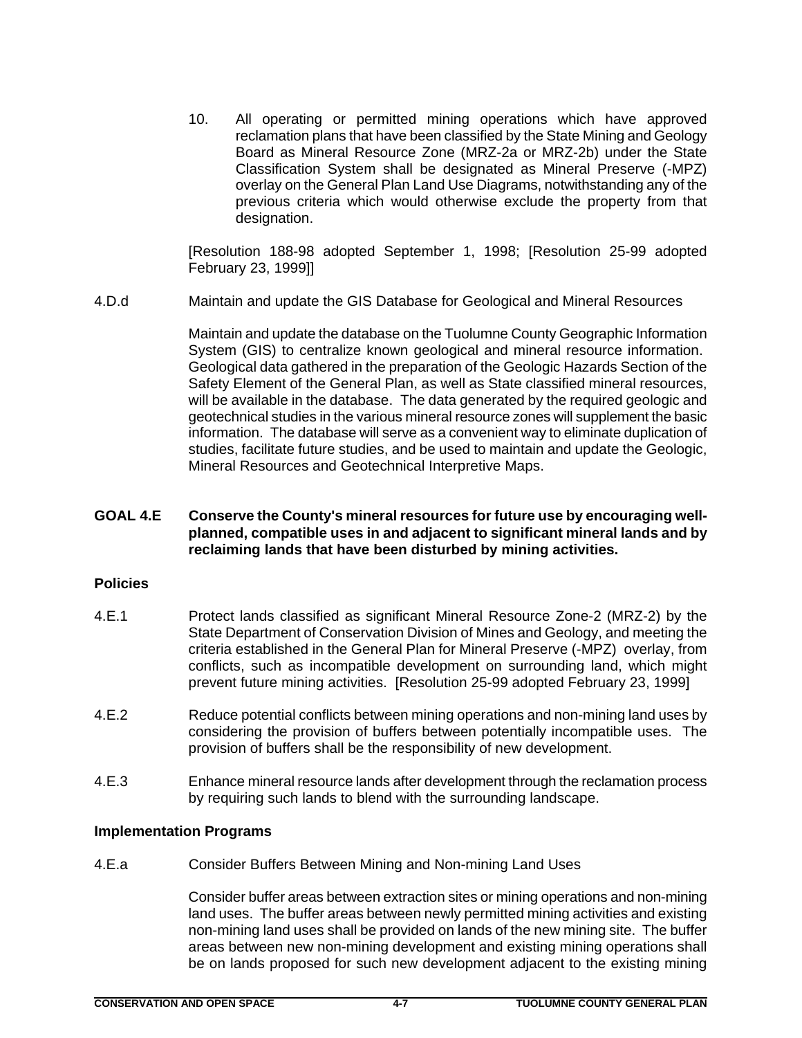10. All operating or permitted mining operations which have approved reclamation plans that have been classified by the State Mining and Geology Board as Mineral Resource Zone (MRZ-2a or MRZ-2b) under the State Classification System shall be designated as Mineral Preserve (-MPZ) overlay on the General Plan Land Use Diagrams, notwithstanding any of the previous criteria which would otherwise exclude the property from that designation.

[Resolution 188-98 adopted September 1, 1998; [Resolution 25-99 adopted February 23, 1999]]

4.D.d Maintain and update the GIS Database for Geological and Mineral Resources

Maintain and update the database on the Tuolumne County Geographic Information System (GIS) to centralize known geological and mineral resource information. Geological data gathered in the preparation of the Geologic Hazards Section of the Safety Element of the General Plan, as well as State classified mineral resources, will be available in the database. The data generated by the required geologic and geotechnical studies in the various mineral resource zones will supplement the basic information. The database will serve as a convenient way to eliminate duplication of studies, facilitate future studies, and be used to maintain and update the Geologic, Mineral Resources and Geotechnical Interpretive Maps.

# **GOAL 4.E Conserve the County's mineral resources for future use by encouraging wellplanned, compatible uses in and adjacent to significant mineral lands and by reclaiming lands that have been disturbed by mining activities.**

# **Policies**

- 4.E.1 Protect lands classified as significant Mineral Resource Zone-2 (MRZ-2) by the State Department of Conservation Division of Mines and Geology, and meeting the criteria established in the General Plan for Mineral Preserve (-MPZ) overlay, from conflicts, such as incompatible development on surrounding land, which might prevent future mining activities. [Resolution 25-99 adopted February 23, 1999]
- 4.E.2 Reduce potential conflicts between mining operations and non-mining land uses by considering the provision of buffers between potentially incompatible uses. The provision of buffers shall be the responsibility of new development.
- 4.E.3 Enhance mineral resource lands after development through the reclamation process by requiring such lands to blend with the surrounding landscape.

# **Implementation Programs**

4.E.a Consider Buffers Between Mining and Non-mining Land Uses

Consider buffer areas between extraction sites or mining operations and non-mining land uses. The buffer areas between newly permitted mining activities and existing non-mining land uses shall be provided on lands of the new mining site. The buffer areas between new non-mining development and existing mining operations shall be on lands proposed for such new development adjacent to the existing mining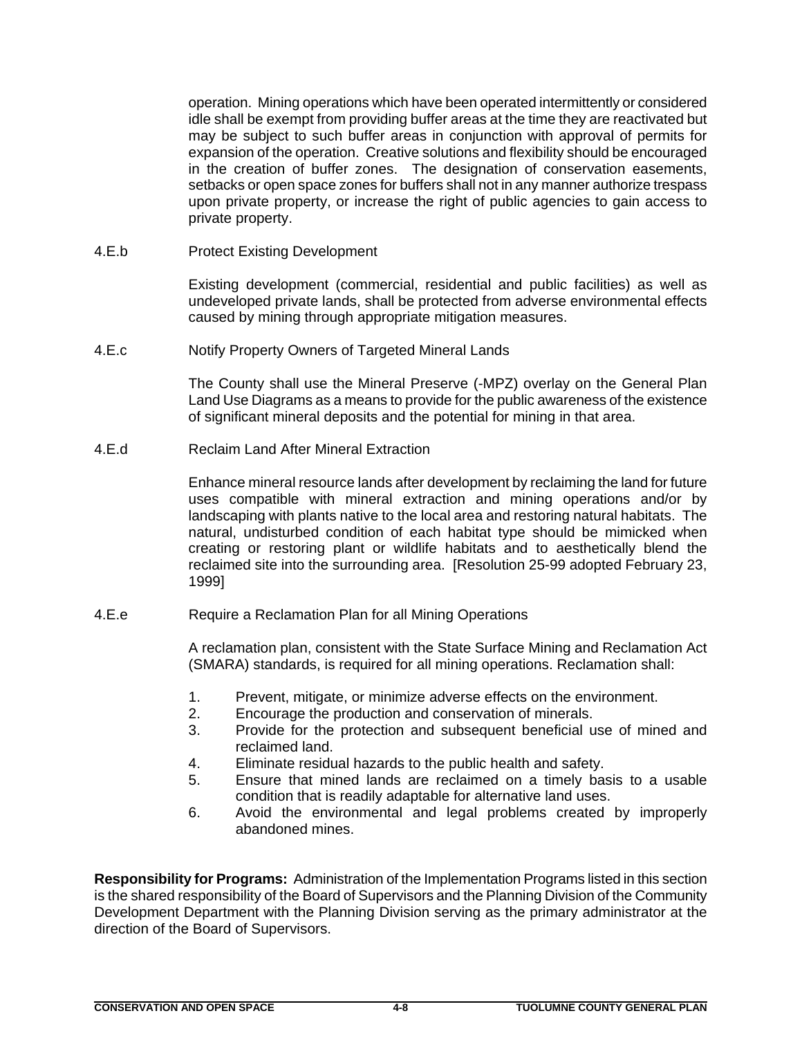operation. Mining operations which have been operated intermittently or considered idle shall be exempt from providing buffer areas at the time they are reactivated but may be subject to such buffer areas in conjunction with approval of permits for expansion of the operation. Creative solutions and flexibility should be encouraged in the creation of buffer zones. The designation of conservation easements, setbacks or open space zones for buffers shall not in any manner authorize trespass upon private property, or increase the right of public agencies to gain access to private property.

4.E.b Protect Existing Development

Existing development (commercial, residential and public facilities) as well as undeveloped private lands, shall be protected from adverse environmental effects caused by mining through appropriate mitigation measures.

4.E.c Notify Property Owners of Targeted Mineral Lands

The County shall use the Mineral Preserve (-MPZ) overlay on the General Plan Land Use Diagrams as a means to provide for the public awareness of the existence of significant mineral deposits and the potential for mining in that area.

4.E.d Reclaim Land After Mineral Extraction

Enhance mineral resource lands after development by reclaiming the land for future uses compatible with mineral extraction and mining operations and/or by landscaping with plants native to the local area and restoring natural habitats. The natural, undisturbed condition of each habitat type should be mimicked when creating or restoring plant or wildlife habitats and to aesthetically blend the reclaimed site into the surrounding area. [Resolution 25-99 adopted February 23, 1999]

4.E.e Require a Reclamation Plan for all Mining Operations

A reclamation plan, consistent with the State Surface Mining and Reclamation Act (SMARA) standards, is required for all mining operations. Reclamation shall:

- 1. Prevent, mitigate, or minimize adverse effects on the environment.
- 2. Encourage the production and conservation of minerals.
- 3. Provide for the protection and subsequent beneficial use of mined and reclaimed land.
- 4. Eliminate residual hazards to the public health and safety.
- 5. Ensure that mined lands are reclaimed on a timely basis to a usable condition that is readily adaptable for alternative land uses.
- 6. Avoid the environmental and legal problems created by improperly abandoned mines.

**Responsibility for Programs:** Administration of the Implementation Programs listed in this section is the shared responsibility of the Board of Supervisors and the Planning Division of the Community Development Department with the Planning Division serving as the primary administrator at the direction of the Board of Supervisors.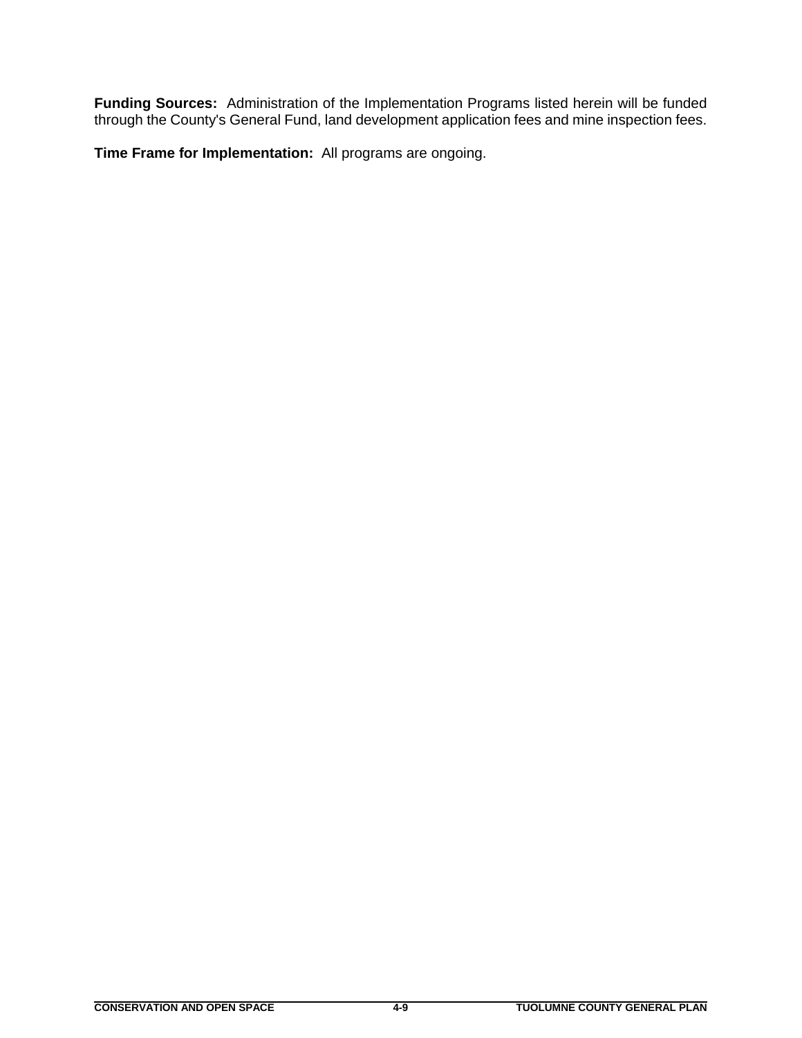**Funding Sources:** Administration of the Implementation Programs listed herein will be funded through the County's General Fund, land development application fees and mine inspection fees.

**Time Frame for Implementation:** All programs are ongoing.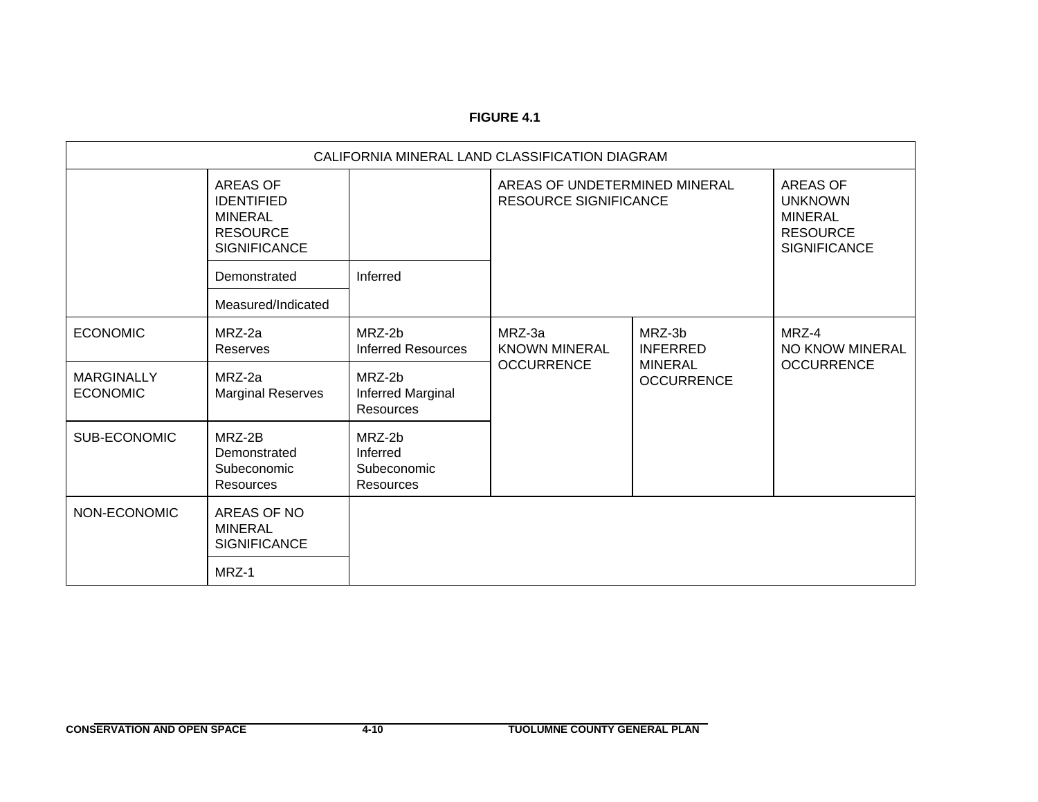## **FIGURE 4.1**

| CALIFORNIA MINERAL LAND CLASSIFICATION DIAGRAM |                                                                                           |                                                |                                                                                                                                                                |                                                                  |                                               |  |
|------------------------------------------------|-------------------------------------------------------------------------------------------|------------------------------------------------|----------------------------------------------------------------------------------------------------------------------------------------------------------------|------------------------------------------------------------------|-----------------------------------------------|--|
|                                                | AREAS OF<br><b>IDENTIFIED</b><br><b>MINERAL</b><br><b>RESOURCE</b><br><b>SIGNIFICANCE</b> |                                                | AREAS OF UNDETERMINED MINERAL<br><b>AREAS OF</b><br><b>RESOURCE SIGNIFICANCE</b><br><b>UNKNOWN</b><br><b>MINERAL</b><br><b>RESOURCE</b><br><b>SIGNIFICANCE</b> |                                                                  |                                               |  |
|                                                | Demonstrated                                                                              | Inferred                                       |                                                                                                                                                                |                                                                  |                                               |  |
|                                                | Measured/Indicated                                                                        |                                                |                                                                                                                                                                |                                                                  |                                               |  |
| <b>ECONOMIC</b>                                | MRZ-2a<br>Reserves                                                                        | MRZ-2b<br><b>Inferred Resources</b>            | MRZ-3a<br><b>KNOWN MINERAL</b><br><b>OCCURRENCE</b>                                                                                                            | MRZ-3b<br><b>INFERRED</b><br><b>MINERAL</b><br><b>OCCURRENCE</b> | MRZ-4<br>NO KNOW MINERAL<br><b>OCCURRENCE</b> |  |
| <b>MARGINALLY</b><br><b>ECONOMIC</b>           | MRZ-2a<br><b>Marginal Reserves</b>                                                        | MRZ-2b<br>Inferred Marginal<br>Resources       |                                                                                                                                                                |                                                                  |                                               |  |
| SUB-ECONOMIC                                   | MRZ-2B<br>Demonstrated<br>Subeconomic<br>Resources                                        | MRZ-2b<br>Inferred<br>Subeconomic<br>Resources |                                                                                                                                                                |                                                                  |                                               |  |
| NON-ECONOMIC                                   | AREAS OF NO<br><b>MINERAL</b><br><b>SIGNIFICANCE</b>                                      |                                                |                                                                                                                                                                |                                                                  |                                               |  |
|                                                | MRZ-1                                                                                     |                                                |                                                                                                                                                                |                                                                  |                                               |  |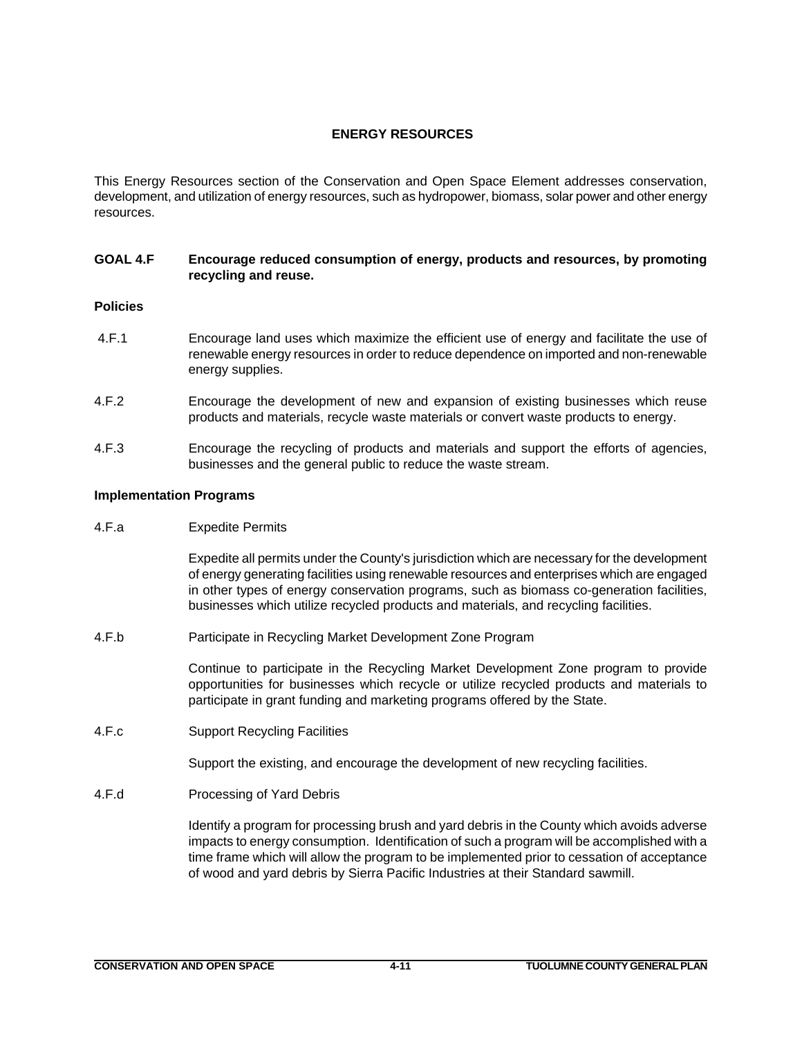# **ENERGY RESOURCES**

This Energy Resources section of the Conservation and Open Space Element addresses conservation, development, and utilization of energy resources, such as hydropower, biomass, solar power and other energy resources.

# **GOAL 4.F Encourage reduced consumption of energy, products and resources, by promoting recycling and reuse.**

# **Policies**

- 4.F.1 Encourage land uses which maximize the efficient use of energy and facilitate the use of renewable energy resources in order to reduce dependence on imported and non-renewable energy supplies.
- 4.F.2 Encourage the development of new and expansion of existing businesses which reuse products and materials, recycle waste materials or convert waste products to energy.
- 4.F.3 Encourage the recycling of products and materials and support the efforts of agencies, businesses and the general public to reduce the waste stream.

## **Implementation Programs**

4.F.a Expedite Permits

Expedite all permits under the County's jurisdiction which are necessary for the development of energy generating facilities using renewable resources and enterprises which are engaged in other types of energy conservation programs, such as biomass co-generation facilities, businesses which utilize recycled products and materials, and recycling facilities.

4.F.b Participate in Recycling Market Development Zone Program

Continue to participate in the Recycling Market Development Zone program to provide opportunities for businesses which recycle or utilize recycled products and materials to participate in grant funding and marketing programs offered by the State.

4.F.c Support Recycling Facilities

Support the existing, and encourage the development of new recycling facilities.

4.F.d Processing of Yard Debris

Identify a program for processing brush and yard debris in the County which avoids adverse impacts to energy consumption. Identification of such a program will be accomplished with a time frame which will allow the program to be implemented prior to cessation of acceptance of wood and yard debris by Sierra Pacific Industries at their Standard sawmill.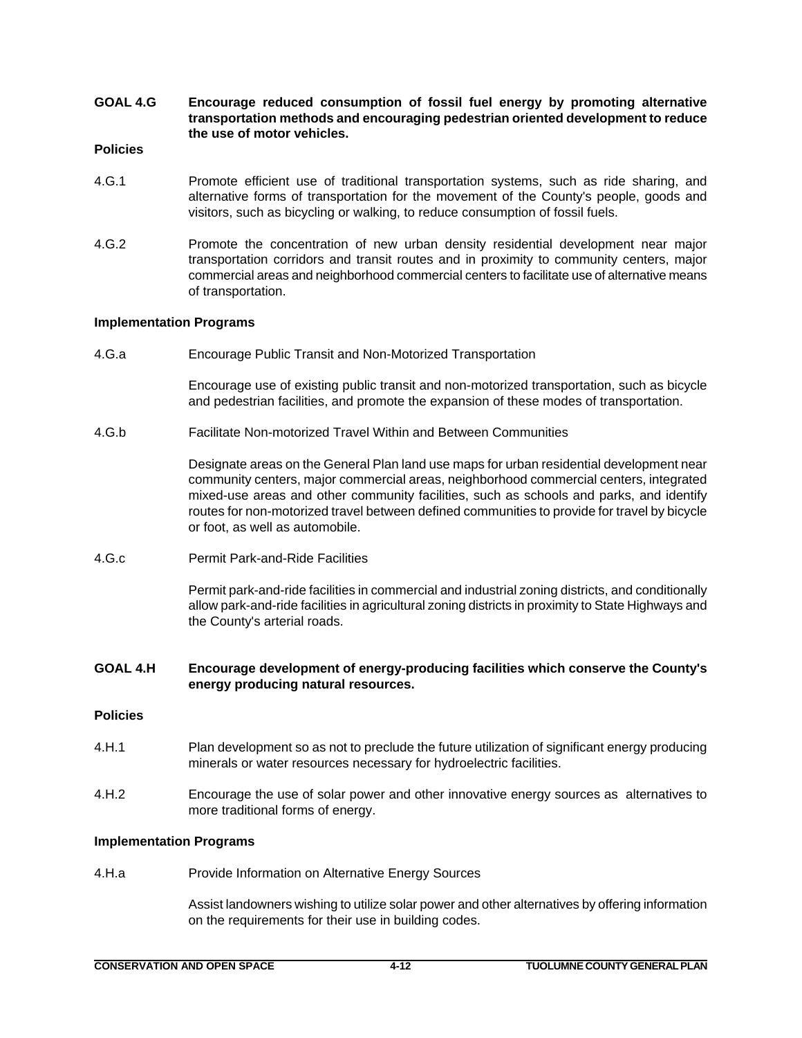**GOAL 4.G Encourage reduced consumption of fossil fuel energy by promoting alternative transportation methods and encouraging pedestrian oriented development to reduce the use of motor vehicles.**

## **Policies**

- 4.G.1 Promote efficient use of traditional transportation systems, such as ride sharing, and alternative forms of transportation for the movement of the County's people, goods and visitors, such as bicycling or walking, to reduce consumption of fossil fuels.
- 4.G.2 Promote the concentration of new urban density residential development near major transportation corridors and transit routes and in proximity to community centers, major commercial areas and neighborhood commercial centers to facilitate use of alternative means of transportation.

# **Implementation Programs**

4.G.a Encourage Public Transit and Non-Motorized Transportation

Encourage use of existing public transit and non-motorized transportation, such as bicycle and pedestrian facilities, and promote the expansion of these modes of transportation.

4.G.b Facilitate Non-motorized Travel Within and Between Communities

Designate areas on the General Plan land use maps for urban residential development near community centers, major commercial areas, neighborhood commercial centers, integrated mixed-use areas and other community facilities, such as schools and parks, and identify routes for non-motorized travel between defined communities to provide for travel by bicycle or foot, as well as automobile.

4.G.c Permit Park-and-Ride Facilities

Permit park-and-ride facilities in commercial and industrial zoning districts, and conditionally allow park-and-ride facilities in agricultural zoning districts in proximity to State Highways and the County's arterial roads.

# **GOAL 4.H Encourage development of energy-producing facilities which conserve the County's energy producing natural resources.**

## **Policies**

- 4.H.1 Plan development so as not to preclude the future utilization of significant energy producing minerals or water resources necessary for hydroelectric facilities.
- 4.H.2 Encourage the use of solar power and other innovative energy sources as alternatives to more traditional forms of energy.

## **Implementation Programs**

4.H.a Provide Information on Alternative Energy Sources

Assist landowners wishing to utilize solar power and other alternatives by offering information on the requirements for their use in building codes.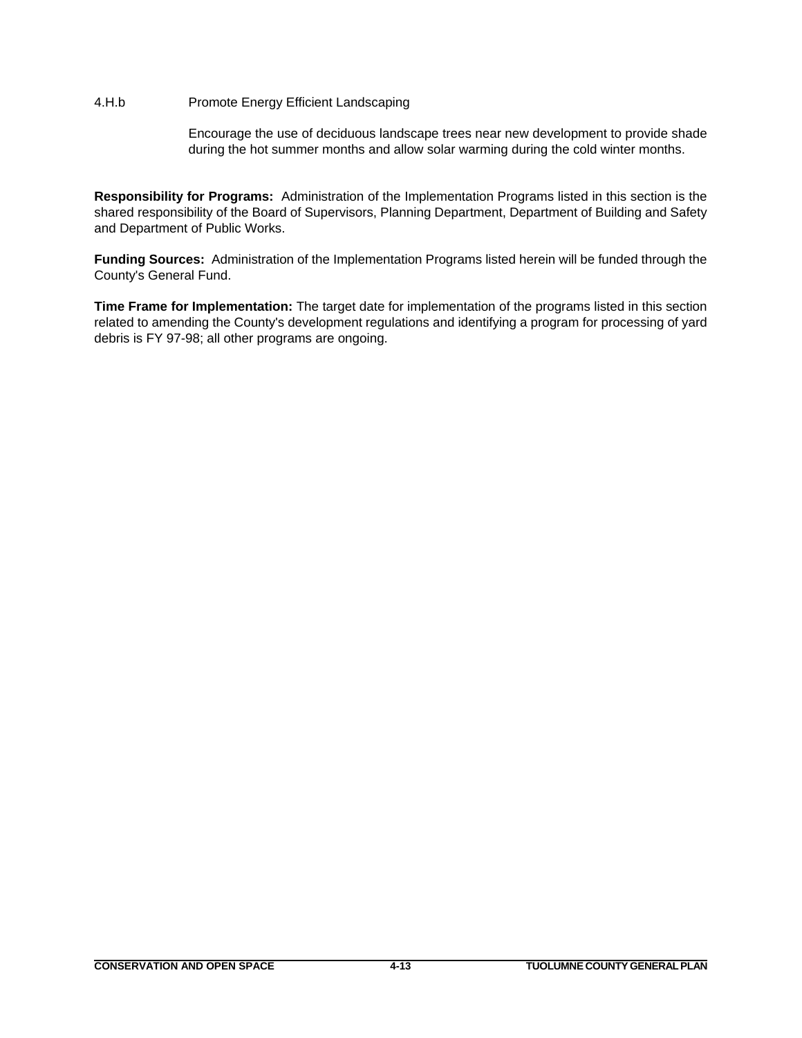# 4.H.b Promote Energy Efficient Landscaping

Encourage the use of deciduous landscape trees near new development to provide shade during the hot summer months and allow solar warming during the cold winter months.

**Responsibility for Programs:** Administration of the Implementation Programs listed in this section is the shared responsibility of the Board of Supervisors, Planning Department, Department of Building and Safety and Department of Public Works.

**Funding Sources:** Administration of the Implementation Programs listed herein will be funded through the County's General Fund.

**Time Frame for Implementation:** The target date for implementation of the programs listed in this section related to amending the County's development regulations and identifying a program for processing of yard debris is FY 97-98; all other programs are ongoing.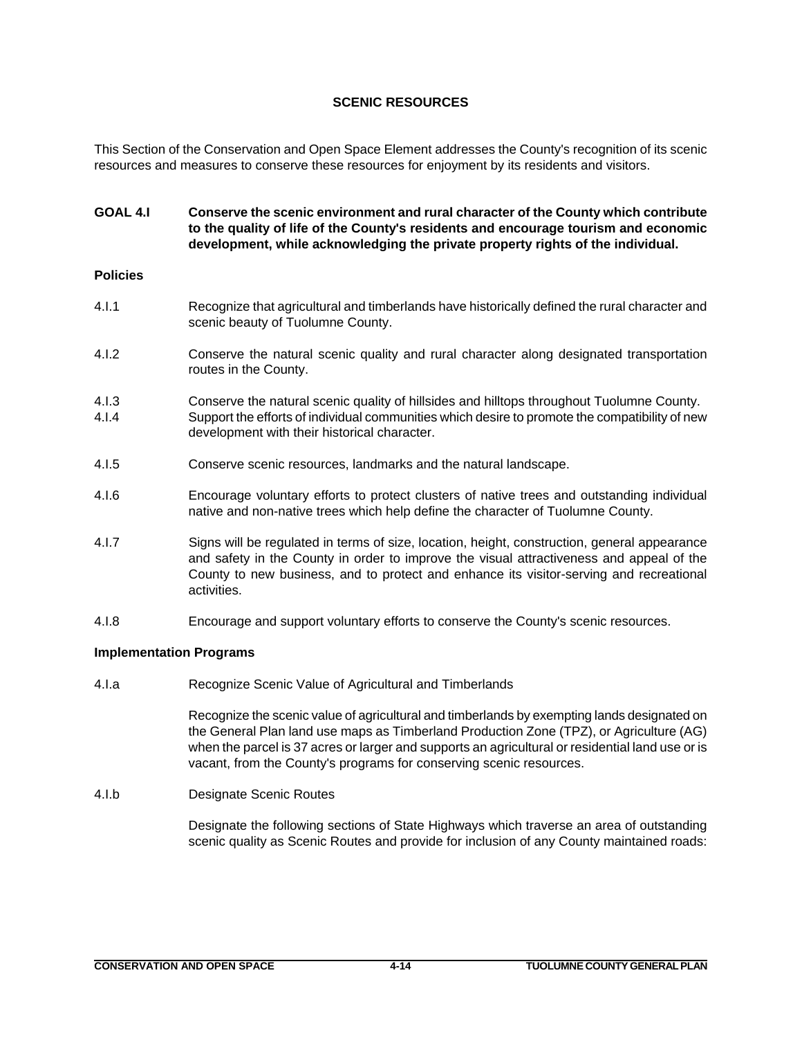# **SCENIC RESOURCES**

This Section of the Conservation and Open Space Element addresses the County's recognition of its scenic resources and measures to conserve these resources for enjoyment by its residents and visitors.

# **GOAL 4.I Conserve the scenic environment and rural character of the County which contribute to the quality of life of the County's residents and encourage tourism and economic development, while acknowledging the private property rights of the individual.**

## **Policies**

- 4.I.1 Recognize that agricultural and timberlands have historically defined the rural character and scenic beauty of Tuolumne County.
- 4.I.2 Conserve the natural scenic quality and rural character along designated transportation routes in the County.
- 4.I.3 Conserve the natural scenic quality of hillsides and hilltops throughout Tuolumne County. 4.I.4 Support the efforts of individual communities which desire to promote the compatibility of new development with their historical character.
- 4.I.5 Conserve scenic resources, landmarks and the natural landscape.
- 4.I.6 Encourage voluntary efforts to protect clusters of native trees and outstanding individual native and non-native trees which help define the character of Tuolumne County.
- 4.I.7 Signs will be regulated in terms of size, location, height, construction, general appearance and safety in the County in order to improve the visual attractiveness and appeal of the County to new business, and to protect and enhance its visitor-serving and recreational activities.
- 4.I.8 Encourage and support voluntary efforts to conserve the County's scenic resources.

## **Implementation Programs**

4.I.a Recognize Scenic Value of Agricultural and Timberlands

Recognize the scenic value of agricultural and timberlands by exempting lands designated on the General Plan land use maps as Timberland Production Zone (TPZ), or Agriculture (AG) when the parcel is 37 acres or larger and supports an agricultural or residential land use or is vacant, from the County's programs for conserving scenic resources.

## 4.I.b Designate Scenic Routes

Designate the following sections of State Highways which traverse an area of outstanding scenic quality as Scenic Routes and provide for inclusion of any County maintained roads: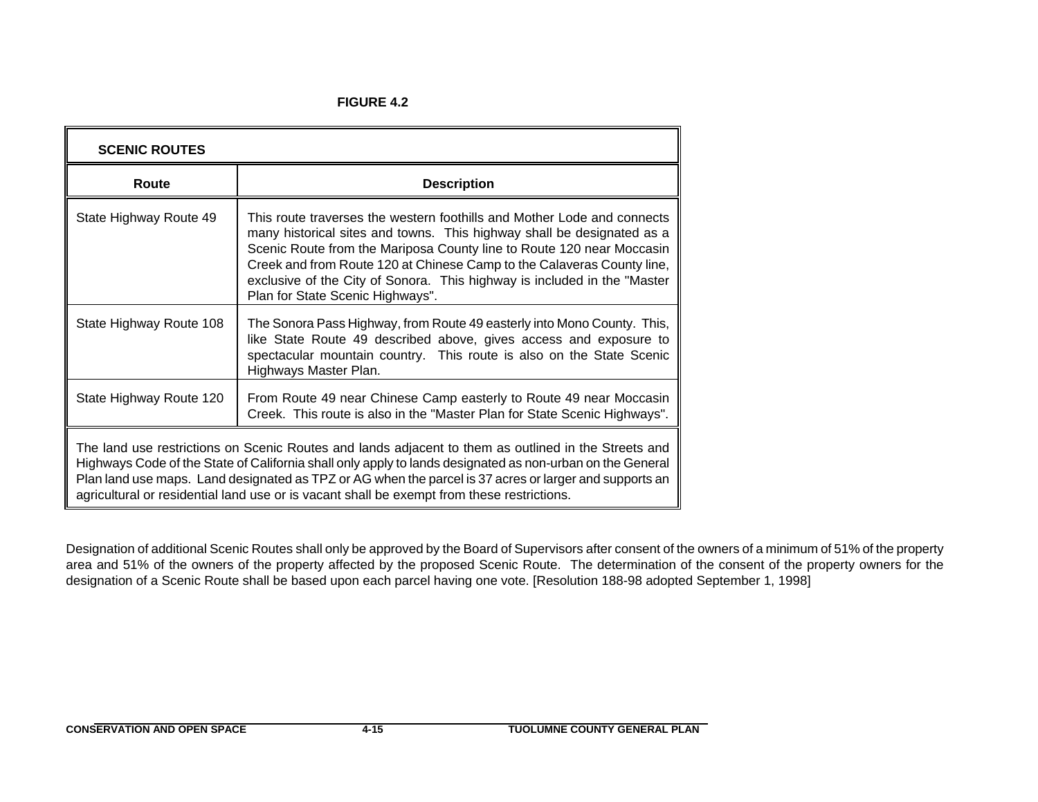**FIGURE 4.2**

| <b>SCENIC ROUTES</b>                                                                                                                                                                                                                                                                                                                                                                                                      |                                                                                                                                                                                                                                                                                                                                                                                                                      |  |  |  |
|---------------------------------------------------------------------------------------------------------------------------------------------------------------------------------------------------------------------------------------------------------------------------------------------------------------------------------------------------------------------------------------------------------------------------|----------------------------------------------------------------------------------------------------------------------------------------------------------------------------------------------------------------------------------------------------------------------------------------------------------------------------------------------------------------------------------------------------------------------|--|--|--|
| Route                                                                                                                                                                                                                                                                                                                                                                                                                     | <b>Description</b>                                                                                                                                                                                                                                                                                                                                                                                                   |  |  |  |
| State Highway Route 49                                                                                                                                                                                                                                                                                                                                                                                                    | This route traverses the western foothills and Mother Lode and connects<br>many historical sites and towns. This highway shall be designated as a<br>Scenic Route from the Mariposa County line to Route 120 near Moccasin<br>Creek and from Route 120 at Chinese Camp to the Calaveras County line,<br>exclusive of the City of Sonora. This highway is included in the "Master<br>Plan for State Scenic Highways". |  |  |  |
| State Highway Route 108                                                                                                                                                                                                                                                                                                                                                                                                   | The Sonora Pass Highway, from Route 49 easterly into Mono County. This,<br>like State Route 49 described above, gives access and exposure to<br>spectacular mountain country. This route is also on the State Scenic<br>Highways Master Plan.                                                                                                                                                                        |  |  |  |
| State Highway Route 120                                                                                                                                                                                                                                                                                                                                                                                                   | From Route 49 near Chinese Camp easterly to Route 49 near Moccasin<br>Creek. This route is also in the "Master Plan for State Scenic Highways".                                                                                                                                                                                                                                                                      |  |  |  |
| The land use restrictions on Scenic Routes and lands adjacent to them as outlined in the Streets and<br>Highways Code of the State of California shall only apply to lands designated as non-urban on the General<br>Plan land use maps. Land designated as TPZ or AG when the parcel is 37 acres or larger and supports an<br>agricultural or residential land use or is vacant shall be exempt from these restrictions. |                                                                                                                                                                                                                                                                                                                                                                                                                      |  |  |  |

Designation of additional Scenic Routes shall only be approved by the Board of Supervisors after consent of the owners of a minimum of 51% of the property area and 51% of the owners of the property affected by the proposed Scenic Route. The determination of the consent of the property owners for the designation of a Scenic Route shall be based upon each parcel having one vote. [Resolution 188-98 adopted September 1, 1998]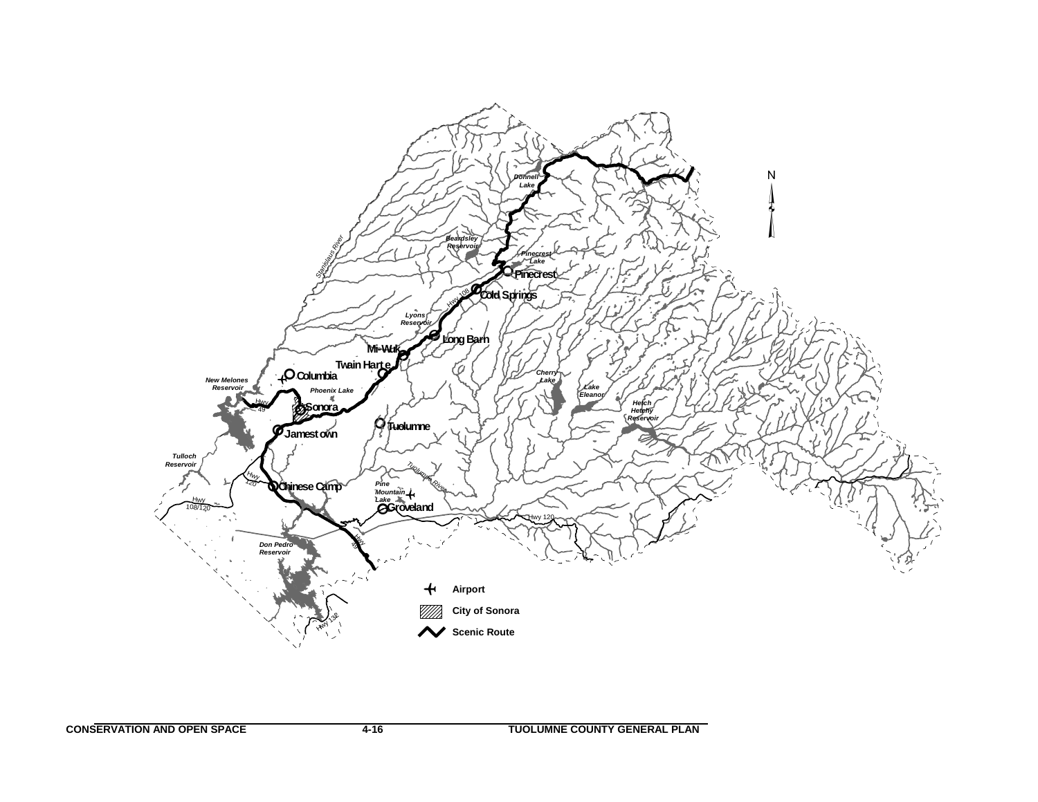

**CONSERVATION AND OPEN SPACE 4-16 TUOLUMNE COUNTY GENERAL PLAN**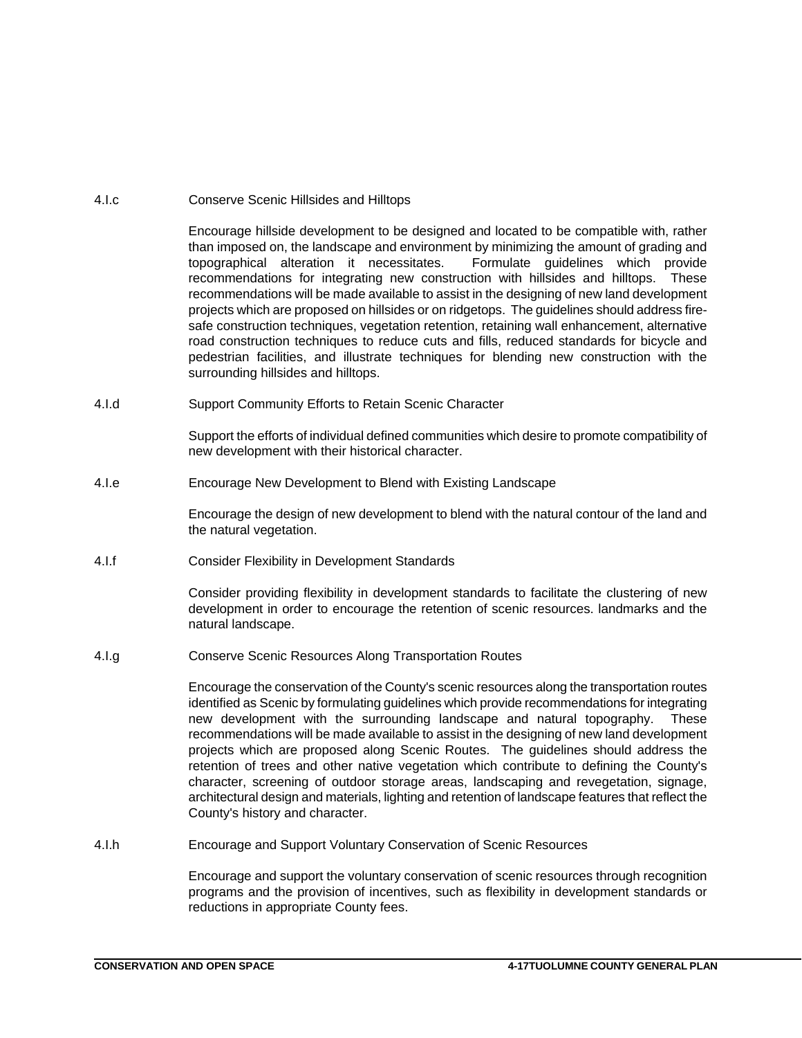# 4.I.c Conserve Scenic Hillsides and Hilltops

Encourage hillside development to be designed and located to be compatible with, rather than imposed on, the landscape and environment by minimizing the amount of grading and topographical alteration it necessitates. Formulate guidelines which provide recommendations for integrating new construction with hillsides and hilltops. These recommendations will be made available to assist in the designing of new land development projects which are proposed on hillsides or on ridgetops. The guidelines should address firesafe construction techniques, vegetation retention, retaining wall enhancement, alternative road construction techniques to reduce cuts and fills, reduced standards for bicycle and pedestrian facilities, and illustrate techniques for blending new construction with the surrounding hillsides and hilltops.

4.I.d Support Community Efforts to Retain Scenic Character

Support the efforts of individual defined communities which desire to promote compatibility of new development with their historical character.

4.I.e Encourage New Development to Blend with Existing Landscape

Encourage the design of new development to blend with the natural contour of the land and the natural vegetation.

4.I.f Consider Flexibility in Development Standards

Consider providing flexibility in development standards to facilitate the clustering of new development in order to encourage the retention of scenic resources. landmarks and the natural landscape.

4.I.g Conserve Scenic Resources Along Transportation Routes

Encourage the conservation of the County's scenic resources along the transportation routes identified as Scenic by formulating guidelines which provide recommendations for integrating new development with the surrounding landscape and natural topography. These recommendations will be made available to assist in the designing of new land development projects which are proposed along Scenic Routes. The guidelines should address the retention of trees and other native vegetation which contribute to defining the County's character, screening of outdoor storage areas, landscaping and revegetation, signage, architectural design and materials, lighting and retention of landscape features that reflect the County's history and character.

4.I.h Encourage and Support Voluntary Conservation of Scenic Resources

Encourage and support the voluntary conservation of scenic resources through recognition programs and the provision of incentives, such as flexibility in development standards or reductions in appropriate County fees.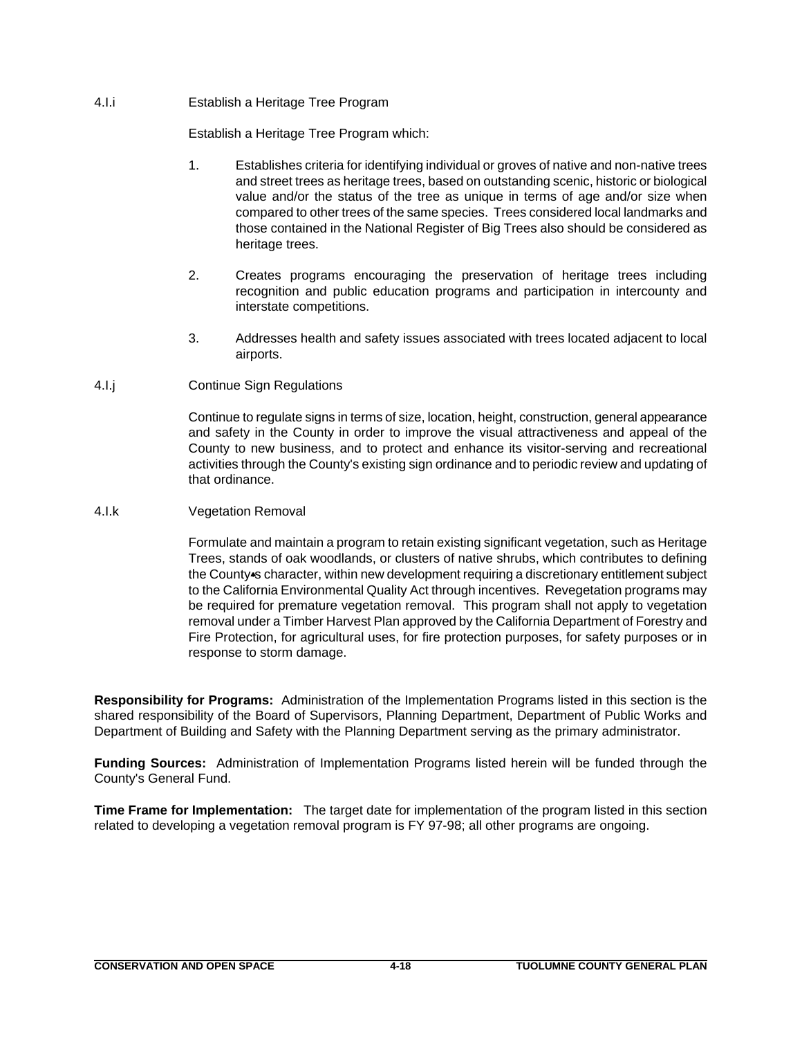# 4.I.i Establish a Heritage Tree Program

Establish a Heritage Tree Program which:

- 1. Establishes criteria for identifying individual or groves of native and non-native trees and street trees as heritage trees, based on outstanding scenic, historic or biological value and/or the status of the tree as unique in terms of age and/or size when compared to other trees of the same species. Trees considered local landmarks and those contained in the National Register of Big Trees also should be considered as heritage trees.
- 2. Creates programs encouraging the preservation of heritage trees including recognition and public education programs and participation in intercounty and interstate competitions.
- 3. Addresses health and safety issues associated with trees located adjacent to local airports.
- 4.I.j Continue Sign Regulations

Continue to regulate signs in terms of size, location, height, construction, general appearance and safety in the County in order to improve the visual attractiveness and appeal of the County to new business, and to protect and enhance its visitor-serving and recreational activities through the County's existing sign ordinance and to periodic review and updating of that ordinance.

## 4.I.k Vegetation Removal

Formulate and maintain a program to retain existing significant vegetation, such as Heritage Trees, stands of oak woodlands, or clusters of native shrubs, which contributes to defining the County-s character, within new development requiring a discretionary entitlement subject to the California Environmental Quality Act through incentives. Revegetation programs may be required for premature vegetation removal. This program shall not apply to vegetation removal under a Timber Harvest Plan approved by the California Department of Forestry and Fire Protection, for agricultural uses, for fire protection purposes, for safety purposes or in response to storm damage.

**Responsibility for Programs:** Administration of the Implementation Programs listed in this section is the shared responsibility of the Board of Supervisors, Planning Department, Department of Public Works and Department of Building and Safety with the Planning Department serving as the primary administrator.

**Funding Sources:** Administration of Implementation Programs listed herein will be funded through the County's General Fund.

**Time Frame for Implementation:** The target date for implementation of the program listed in this section related to developing a vegetation removal program is FY 97-98; all other programs are ongoing.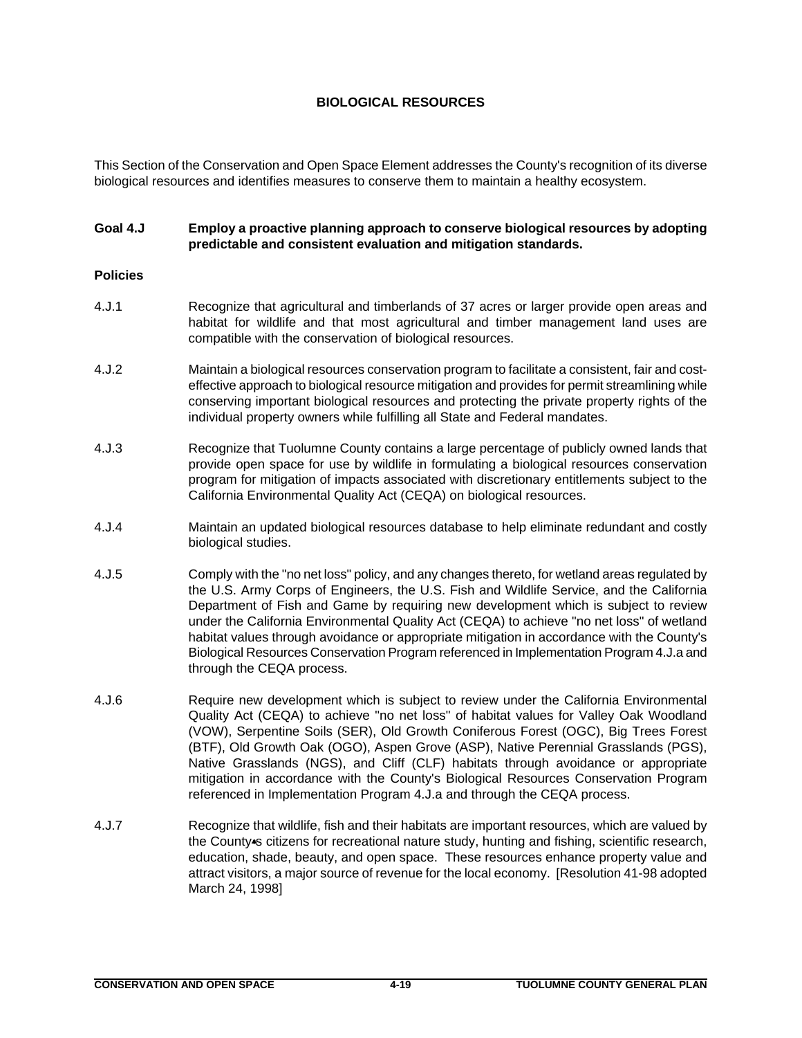# **BIOLOGICAL RESOURCES**

This Section of the Conservation and Open Space Element addresses the County's recognition of its diverse biological resources and identifies measures to conserve them to maintain a healthy ecosystem.

# **Goal 4.J Employ a proactive planning approach to conserve biological resources by adopting predictable and consistent evaluation and mitigation standards.**

# **Policies**

- 4.J.1 Recognize that agricultural and timberlands of 37 acres or larger provide open areas and habitat for wildlife and that most agricultural and timber management land uses are compatible with the conservation of biological resources.
- 4.J.2 Maintain a biological resources conservation program to facilitate a consistent, fair and costeffective approach to biological resource mitigation and provides for permit streamlining while conserving important biological resources and protecting the private property rights of the individual property owners while fulfilling all State and Federal mandates.
- 4.J.3 Recognize that Tuolumne County contains a large percentage of publicly owned lands that provide open space for use by wildlife in formulating a biological resources conservation program for mitigation of impacts associated with discretionary entitlements subject to the California Environmental Quality Act (CEQA) on biological resources.
- 4.J.4 Maintain an updated biological resources database to help eliminate redundant and costly biological studies.
- 4.J.5 Comply with the "no net loss" policy, and any changes thereto, for wetland areas regulated by the U.S. Army Corps of Engineers, the U.S. Fish and Wildlife Service, and the California Department of Fish and Game by requiring new development which is subject to review under the California Environmental Quality Act (CEQA) to achieve "no net loss" of wetland habitat values through avoidance or appropriate mitigation in accordance with the County's Biological Resources Conservation Program referenced in Implementation Program 4.J.a and through the CEQA process.
- 4.J.6 Require new development which is subject to review under the California Environmental Quality Act (CEQA) to achieve "no net loss" of habitat values for Valley Oak Woodland (VOW), Serpentine Soils (SER), Old Growth Coniferous Forest (OGC), Big Trees Forest (BTF), Old Growth Oak (OGO), Aspen Grove (ASP), Native Perennial Grasslands (PGS), Native Grasslands (NGS), and Cliff (CLF) habitats through avoidance or appropriate mitigation in accordance with the County's Biological Resources Conservation Program referenced in Implementation Program 4.J.a and through the CEQA process.
- 4.J.7 Recognize that wildlife, fish and their habitats are important resources, which are valued by the County-s citizens for recreational nature study, hunting and fishing, scientific research, education, shade, beauty, and open space. These resources enhance property value and attract visitors, a major source of revenue for the local economy. [Resolution 41-98 adopted March 24, 1998]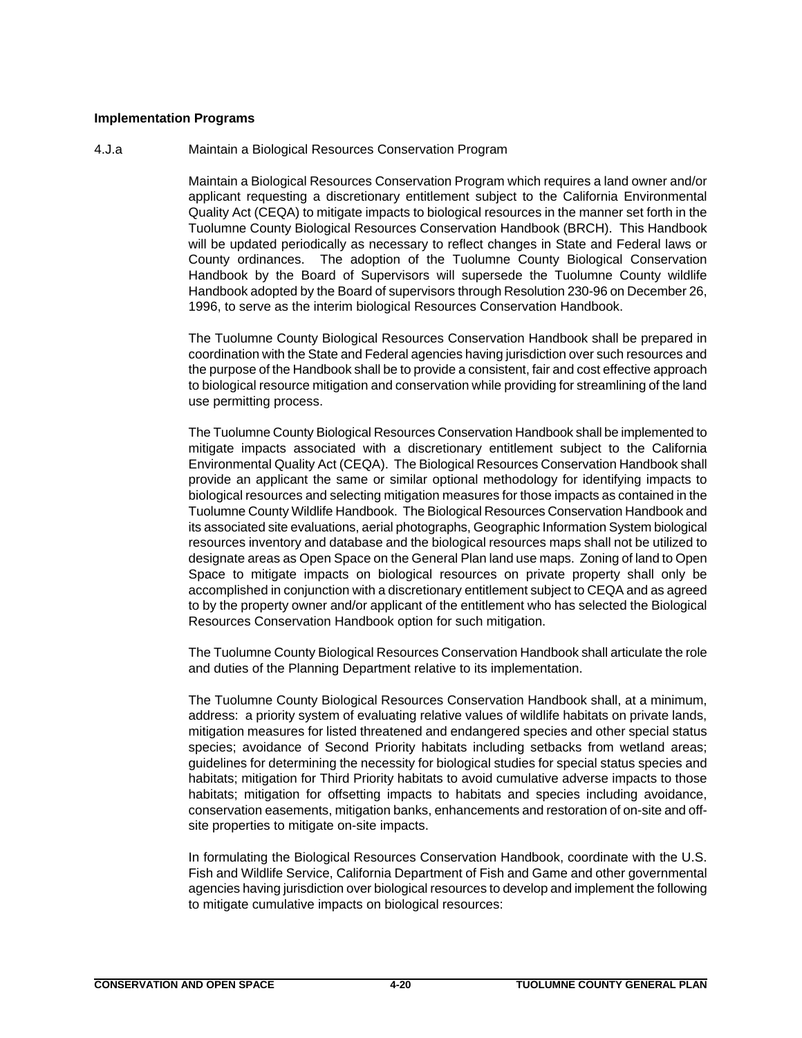## **Implementation Programs**

## 4.J.a Maintain a Biological Resources Conservation Program

Maintain a Biological Resources Conservation Program which requires a land owner and/or applicant requesting a discretionary entitlement subject to the California Environmental Quality Act (CEQA) to mitigate impacts to biological resources in the manner set forth in the Tuolumne County Biological Resources Conservation Handbook (BRCH). This Handbook will be updated periodically as necessary to reflect changes in State and Federal laws or County ordinances. The adoption of the Tuolumne County Biological Conservation Handbook by the Board of Supervisors will supersede the Tuolumne County wildlife Handbook adopted by the Board of supervisors through Resolution 230-96 on December 26, 1996, to serve as the interim biological Resources Conservation Handbook.

The Tuolumne County Biological Resources Conservation Handbook shall be prepared in coordination with the State and Federal agencies having jurisdiction over such resources and the purpose of the Handbook shall be to provide a consistent, fair and cost effective approach to biological resource mitigation and conservation while providing for streamlining of the land use permitting process.

The Tuolumne County Biological Resources Conservation Handbook shall be implemented to mitigate impacts associated with a discretionary entitlement subject to the California Environmental Quality Act (CEQA). The Biological Resources Conservation Handbook shall provide an applicant the same or similar optional methodology for identifying impacts to biological resources and selecting mitigation measures for those impacts as contained in the Tuolumne County Wildlife Handbook. The Biological Resources Conservation Handbook and its associated site evaluations, aerial photographs, Geographic Information System biological resources inventory and database and the biological resources maps shall not be utilized to designate areas as Open Space on the General Plan land use maps. Zoning of land to Open Space to mitigate impacts on biological resources on private property shall only be accomplished in conjunction with a discretionary entitlement subject to CEQA and as agreed to by the property owner and/or applicant of the entitlement who has selected the Biological Resources Conservation Handbook option for such mitigation.

The Tuolumne County Biological Resources Conservation Handbook shall articulate the role and duties of the Planning Department relative to its implementation.

The Tuolumne County Biological Resources Conservation Handbook shall, at a minimum, address: a priority system of evaluating relative values of wildlife habitats on private lands, mitigation measures for listed threatened and endangered species and other special status species; avoidance of Second Priority habitats including setbacks from wetland areas; guidelines for determining the necessity for biological studies for special status species and habitats; mitigation for Third Priority habitats to avoid cumulative adverse impacts to those habitats; mitigation for offsetting impacts to habitats and species including avoidance, conservation easements, mitigation banks, enhancements and restoration of on-site and offsite properties to mitigate on-site impacts.

In formulating the Biological Resources Conservation Handbook, coordinate with the U.S. Fish and Wildlife Service, California Department of Fish and Game and other governmental agencies having jurisdiction over biological resources to develop and implement the following to mitigate cumulative impacts on biological resources: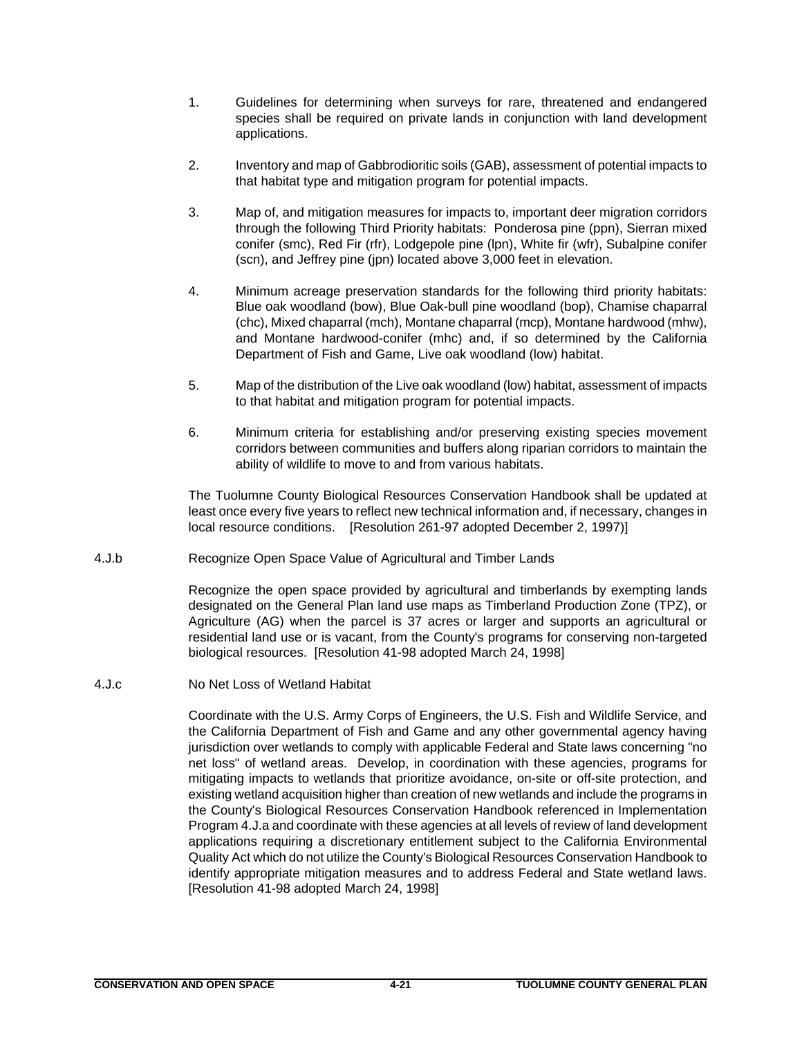- 1. Guidelines for determining when surveys for rare, threatened and endangered species shall be required on private lands in conjunction with land development applications.
- 2. Inventory and map of Gabbrodioritic soils (GAB), assessment of potential impacts to that habitat type and mitigation program for potential impacts.
- 3. Map of, and mitigation measures for impacts to, important deer migration corridors through the following Third Priority habitats: Ponderosa pine (ppn), Sierran mixed conifer (smc), Red Fir (rfr), Lodgepole pine (lpn), White fir (wfr), Subalpine conifer (scn), and Jeffrey pine (jpn) located above 3,000 feet in elevation.
- 4. Minimum acreage preservation standards for the following third priority habitats: Blue oak woodland (bow), Blue Oak-bull pine woodland (bop), Chamise chaparral (chc), Mixed chaparral (mch), Montane chaparral (mcp), Montane hardwood (mhw), and Montane hardwood-conifer (mhc) and, if so determined by the California Department of Fish and Game, Live oak woodland (low) habitat.
- 5. Map of the distribution of the Live oak woodland (low) habitat, assessment of impacts to that habitat and mitigation program for potential impacts.
- 6. Minimum criteria for establishing and/or preserving existing species movement corridors between communities and buffers along riparian corridors to maintain the ability of wildlife to move to and from various habitats.

The Tuolumne County Biological Resources Conservation Handbook shall be updated at least once every five years to reflect new technical information and, if necessary, changes in local resource conditions. [Resolution 261-97 adopted December 2, 1997)]

4.J.b Recognize Open Space Value of Agricultural and Timber Lands

Recognize the open space provided by agricultural and timberlands by exempting lands designated on the General Plan land use maps as Timberland Production Zone (TPZ), or Agriculture (AG) when the parcel is 37 acres or larger and supports an agricultural or residential land use or is vacant, from the County's programs for conserving non-targeted biological resources. [Resolution 41-98 adopted March 24, 1998]

4.J.c No Net Loss of Wetland Habitat

Coordinate with the U.S. Army Corps of Engineers, the U.S. Fish and Wildlife Service, and the California Department of Fish and Game and any other governmental agency having jurisdiction over wetlands to comply with applicable Federal and State laws concerning "no net loss" of wetland areas. Develop, in coordination with these agencies, programs for mitigating impacts to wetlands that prioritize avoidance, on-site or off-site protection, and existing wetland acquisition higher than creation of new wetlands and include the programs in the County's Biological Resources Conservation Handbook referenced in Implementation Program 4.J.a and coordinate with these agencies at all levels of review of land development applications requiring a discretionary entitlement subject to the California Environmental Quality Act which do not utilize the County's Biological Resources Conservation Handbook to identify appropriate mitigation measures and to address Federal and State wetland laws. [Resolution 41-98 adopted March 24, 1998]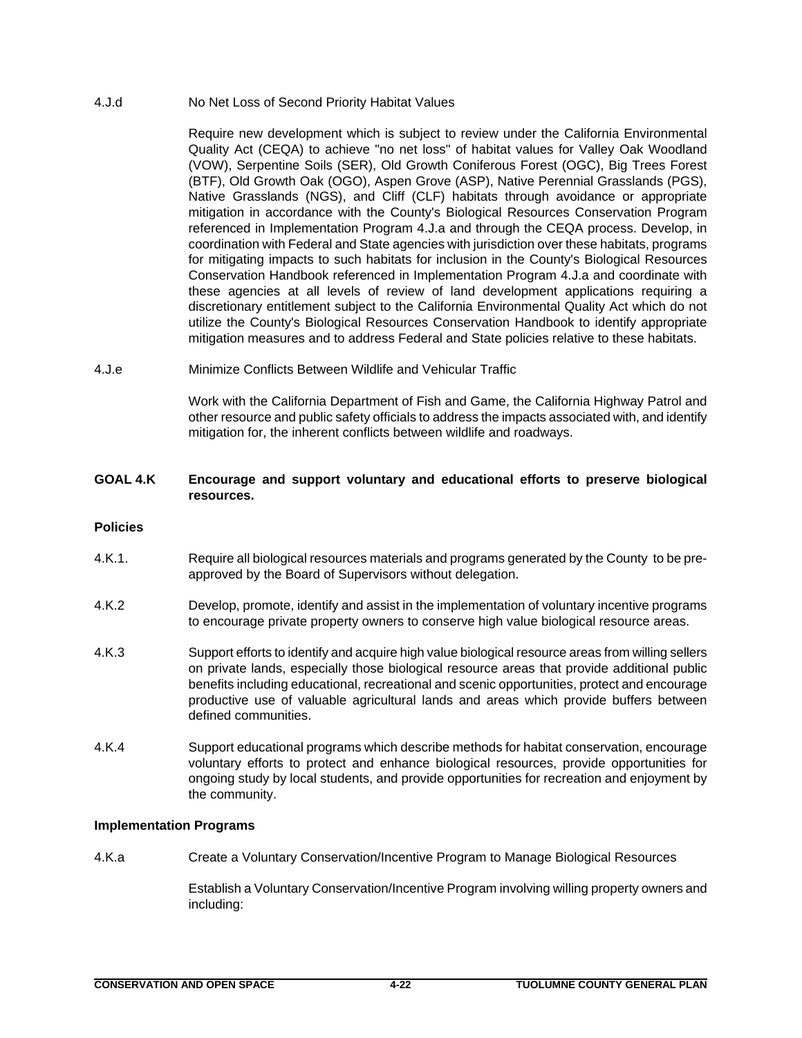## 4.J.d No Net Loss of Second Priority Habitat Values

Require new development which is subject to review under the California Environmental Quality Act (CEQA) to achieve "no net loss" of habitat values for Valley Oak Woodland (VOW), Serpentine Soils (SER), Old Growth Coniferous Forest (OGC), Big Trees Forest (BTF), Old Growth Oak (OGO), Aspen Grove (ASP), Native Perennial Grasslands (PGS), Native Grasslands (NGS), and Cliff (CLF) habitats through avoidance or appropriate mitigation in accordance with the County's Biological Resources Conservation Program referenced in Implementation Program 4.J.a and through the CEQA process. Develop, in coordination with Federal and State agencies with jurisdiction over these habitats, programs for mitigating impacts to such habitats for inclusion in the County's Biological Resources Conservation Handbook referenced in Implementation Program 4.J.a and coordinate with these agencies at all levels of review of land development applications requiring a discretionary entitlement subject to the California Environmental Quality Act which do not utilize the County's Biological Resources Conservation Handbook to identify appropriate mitigation measures and to address Federal and State policies relative to these habitats.

4.J.e Minimize Conflicts Between Wildlife and Vehicular Traffic

Work with the California Department of Fish and Game, the California Highway Patrol and other resource and public safety officials to address the impacts associated with, and identify mitigation for, the inherent conflicts between wildlife and roadways.

# **GOAL 4.K Encourage and support voluntary and educational efforts to preserve biological resources.**

# **Policies**

- 4.K.1. Require all biological resources materials and programs generated by the County to be preapproved by the Board of Supervisors without delegation.
- 4.K.2 Develop, promote, identify and assist in the implementation of voluntary incentive programs to encourage private property owners to conserve high value biological resource areas.
- 4.K.3 Support efforts to identify and acquire high value biological resource areas from willing sellers on private lands, especially those biological resource areas that provide additional public benefits including educational, recreational and scenic opportunities, protect and encourage productive use of valuable agricultural lands and areas which provide buffers between defined communities.
- 4.K.4 Support educational programs which describe methods for habitat conservation, encourage voluntary efforts to protect and enhance biological resources, provide opportunities for ongoing study by local students, and provide opportunities for recreation and enjoyment by the community.

## **Implementation Programs**

4.K.a Create a Voluntary Conservation/Incentive Program to Manage Biological Resources

Establish a Voluntary Conservation/Incentive Program involving willing property owners and including: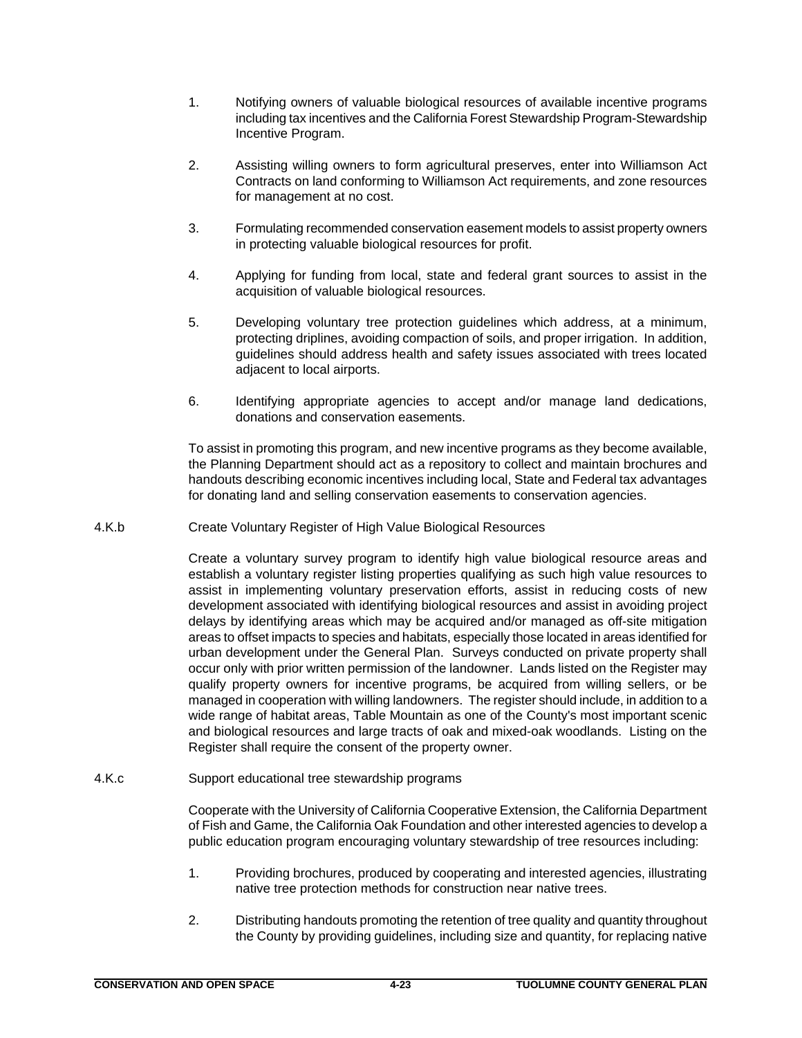- 1. Notifying owners of valuable biological resources of available incentive programs including tax incentives and the California Forest Stewardship Program-Stewardship Incentive Program.
- 2. Assisting willing owners to form agricultural preserves, enter into Williamson Act Contracts on land conforming to Williamson Act requirements, and zone resources for management at no cost.
- 3. Formulating recommended conservation easement models to assist property owners in protecting valuable biological resources for profit.
- 4. Applying for funding from local, state and federal grant sources to assist in the acquisition of valuable biological resources.
- 5. Developing voluntary tree protection guidelines which address, at a minimum, protecting driplines, avoiding compaction of soils, and proper irrigation. In addition, guidelines should address health and safety issues associated with trees located adjacent to local airports.
- 6. Identifying appropriate agencies to accept and/or manage land dedications, donations and conservation easements.

To assist in promoting this program, and new incentive programs as they become available, the Planning Department should act as a repository to collect and maintain brochures and handouts describing economic incentives including local, State and Federal tax advantages for donating land and selling conservation easements to conservation agencies.

4.K.b Create Voluntary Register of High Value Biological Resources

Create a voluntary survey program to identify high value biological resource areas and establish a voluntary register listing properties qualifying as such high value resources to assist in implementing voluntary preservation efforts, assist in reducing costs of new development associated with identifying biological resources and assist in avoiding project delays by identifying areas which may be acquired and/or managed as off-site mitigation areas to offset impacts to species and habitats, especially those located in areas identified for urban development under the General Plan. Surveys conducted on private property shall occur only with prior written permission of the landowner. Lands listed on the Register may qualify property owners for incentive programs, be acquired from willing sellers, or be managed in cooperation with willing landowners. The register should include, in addition to a wide range of habitat areas, Table Mountain as one of the County's most important scenic and biological resources and large tracts of oak and mixed-oak woodlands. Listing on the Register shall require the consent of the property owner.

4.K.c Support educational tree stewardship programs

Cooperate with the University of California Cooperative Extension, the California Department of Fish and Game, the California Oak Foundation and other interested agencies to develop a public education program encouraging voluntary stewardship of tree resources including:

- 1. Providing brochures, produced by cooperating and interested agencies, illustrating native tree protection methods for construction near native trees.
- 2. Distributing handouts promoting the retention of tree quality and quantity throughout the County by providing guidelines, including size and quantity, for replacing native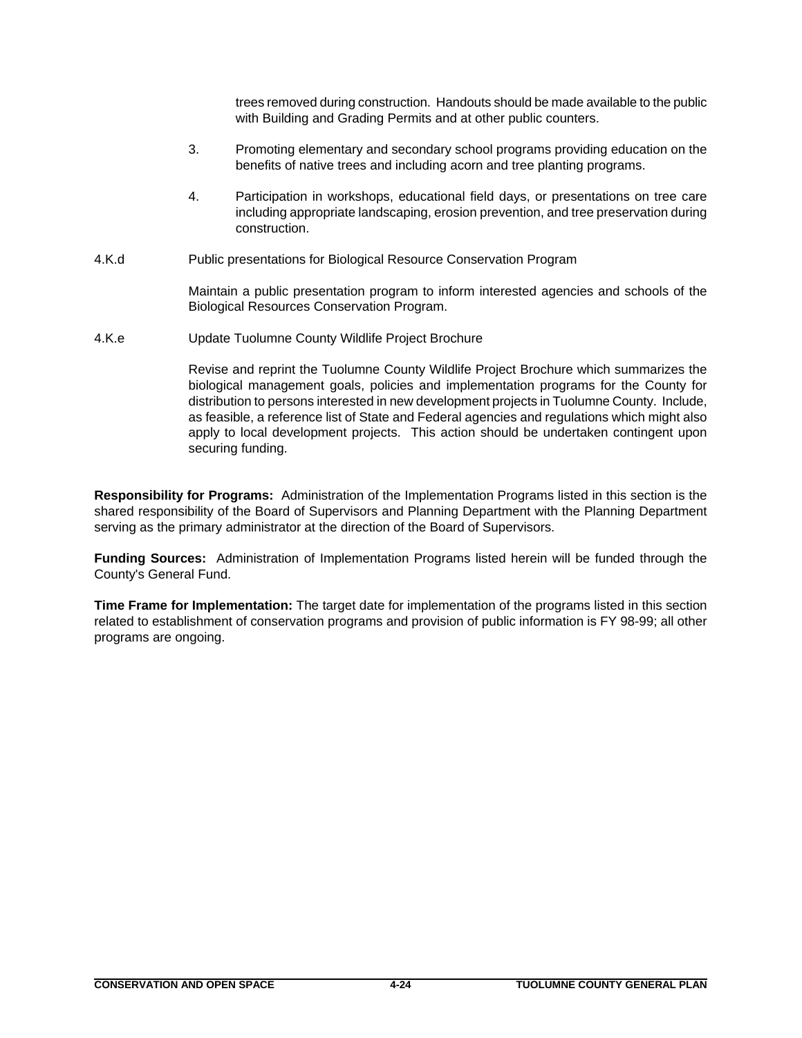trees removed during construction. Handouts should be made available to the public with Building and Grading Permits and at other public counters.

- 3. Promoting elementary and secondary school programs providing education on the benefits of native trees and including acorn and tree planting programs.
- 4. Participation in workshops, educational field days, or presentations on tree care including appropriate landscaping, erosion prevention, and tree preservation during construction.
- 4.K.d Public presentations for Biological Resource Conservation Program

Maintain a public presentation program to inform interested agencies and schools of the Biological Resources Conservation Program.

4.K.e Update Tuolumne County Wildlife Project Brochure

Revise and reprint the Tuolumne County Wildlife Project Brochure which summarizes the biological management goals, policies and implementation programs for the County for distribution to persons interested in new development projects in Tuolumne County. Include, as feasible, a reference list of State and Federal agencies and regulations which might also apply to local development projects. This action should be undertaken contingent upon securing funding.

**Responsibility for Programs:** Administration of the Implementation Programs listed in this section is the shared responsibility of the Board of Supervisors and Planning Department with the Planning Department serving as the primary administrator at the direction of the Board of Supervisors.

**Funding Sources:** Administration of Implementation Programs listed herein will be funded through the County's General Fund.

**Time Frame for Implementation:** The target date for implementation of the programs listed in this section related to establishment of conservation programs and provision of public information is FY 98-99; all other programs are ongoing.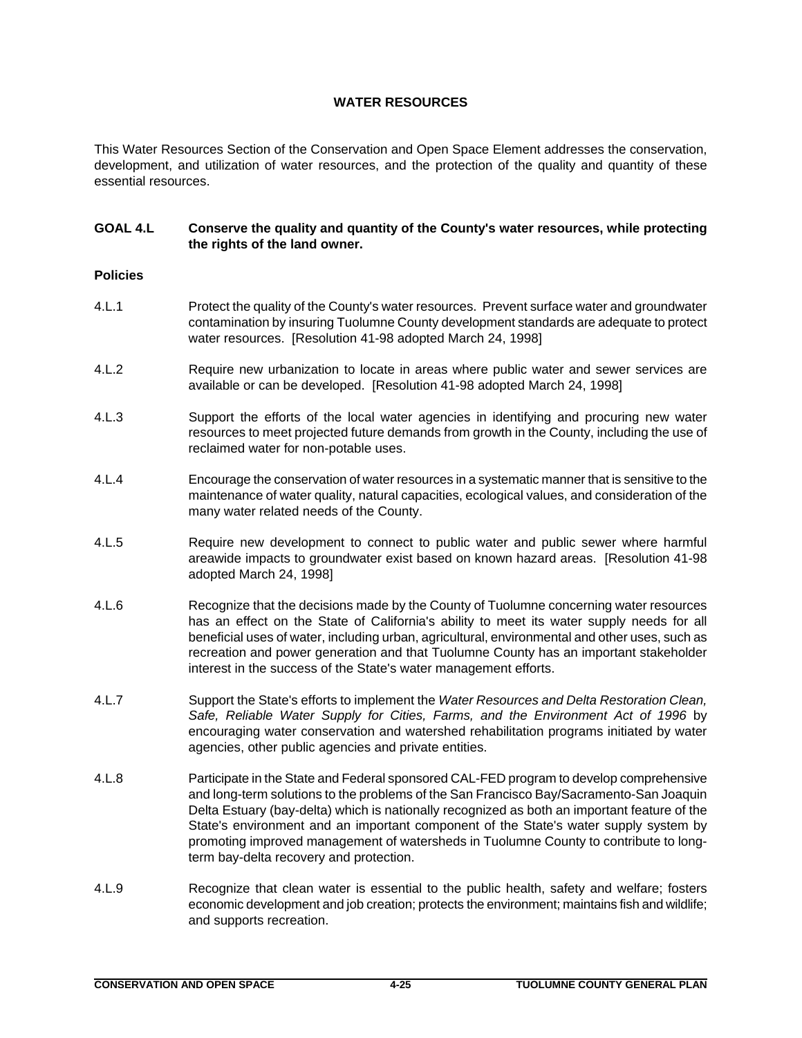# **WATER RESOURCES**

This Water Resources Section of the Conservation and Open Space Element addresses the conservation, development, and utilization of water resources, and the protection of the quality and quantity of these essential resources.

# **GOAL 4.L Conserve the quality and quantity of the County's water resources, while protecting the rights of the land owner.**

## **Policies**

- 4.L.1 Protect the quality of the County's water resources. Prevent surface water and groundwater contamination by insuring Tuolumne County development standards are adequate to protect water resources. [Resolution 41-98 adopted March 24, 1998]
- 4.L.2 Require new urbanization to locate in areas where public water and sewer services are available or can be developed. [Resolution 41-98 adopted March 24, 1998]
- 4.L.3 Support the efforts of the local water agencies in identifying and procuring new water resources to meet projected future demands from growth in the County, including the use of reclaimed water for non-potable uses.
- 4.L.4 Encourage the conservation of water resources in a systematic manner that is sensitive to the maintenance of water quality, natural capacities, ecological values, and consideration of the many water related needs of the County.
- 4.L.5 Require new development to connect to public water and public sewer where harmful areawide impacts to groundwater exist based on known hazard areas. [Resolution 41-98 adopted March 24, 1998]
- 4.L.6 Recognize that the decisions made by the County of Tuolumne concerning water resources has an effect on the State of California's ability to meet its water supply needs for all beneficial uses of water, including urban, agricultural, environmental and other uses, such as recreation and power generation and that Tuolumne County has an important stakeholder interest in the success of the State's water management efforts.
- 4.L.7 Support the State's efforts to implement the *Water Resources and Delta Restoration Clean, Safe, Reliable Water Supply for Cities, Farms, and the Environment Act of 1996* by encouraging water conservation and watershed rehabilitation programs initiated by water agencies, other public agencies and private entities.
- 4.L.8 Participate in the State and Federal sponsored CAL-FED program to develop comprehensive and long-term solutions to the problems of the San Francisco Bay/Sacramento-San Joaquin Delta Estuary (bay-delta) which is nationally recognized as both an important feature of the State's environment and an important component of the State's water supply system by promoting improved management of watersheds in Tuolumne County to contribute to longterm bay-delta recovery and protection.
- 4.L.9 Recognize that clean water is essential to the public health, safety and welfare; fosters economic development and job creation; protects the environment; maintains fish and wildlife; and supports recreation.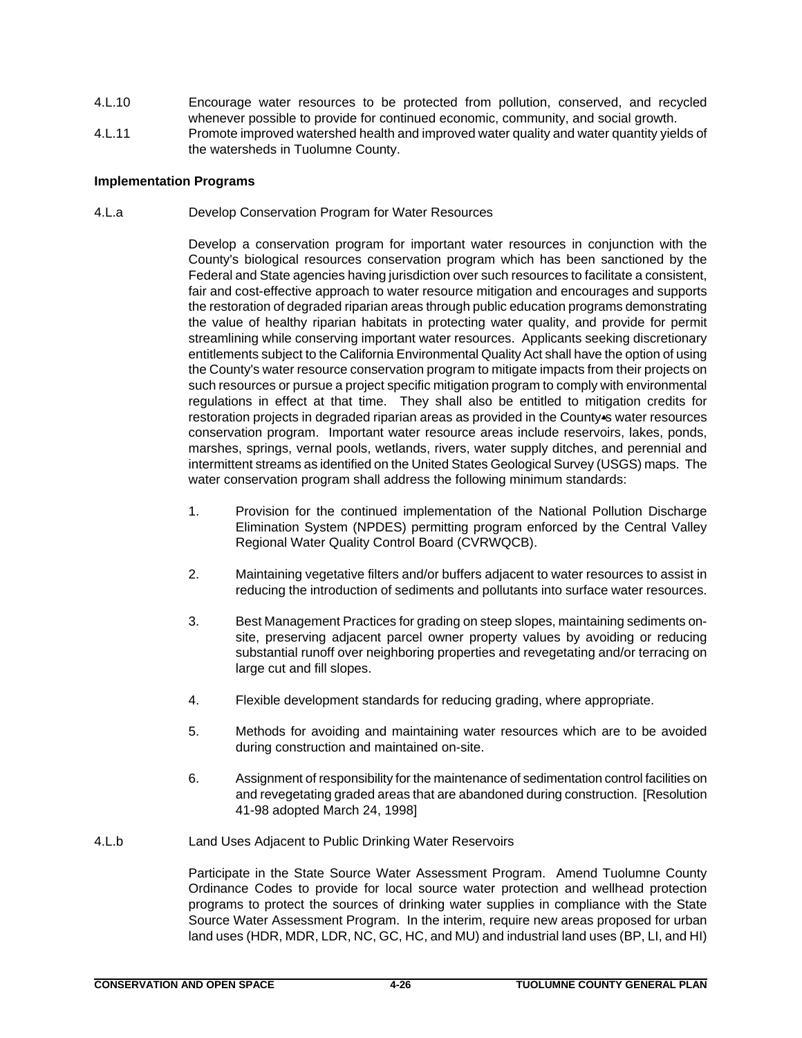- 4.L.10 Encourage water resources to be protected from pollution, conserved, and recycled whenever possible to provide for continued economic, community, and social growth.
- 4.L.11 Promote improved watershed health and improved water quality and water quantity yields of the watersheds in Tuolumne County.

## **Implementation Programs**

4.L.a Develop Conservation Program for Water Resources

Develop a conservation program for important water resources in conjunction with the County's biological resources conservation program which has been sanctioned by the Federal and State agencies having jurisdiction over such resources to facilitate a consistent, fair and cost-effective approach to water resource mitigation and encourages and supports the restoration of degraded riparian areas through public education programs demonstrating the value of healthy riparian habitats in protecting water quality, and provide for permit streamlining while conserving important water resources. Applicants seeking discretionary entitlements subject to the California Environmental Quality Act shall have the option of using the County's water resource conservation program to mitigate impacts from their projects on such resources or pursue a project specific mitigation program to comply with environmental regulations in effect at that time. They shall also be entitled to mitigation credits for restoration projects in degraded riparian areas as provided in the County-s water resources conservation program. Important water resource areas include reservoirs, lakes, ponds, marshes, springs, vernal pools, wetlands, rivers, water supply ditches, and perennial and intermittent streams as identified on the United States Geological Survey (USGS) maps. The water conservation program shall address the following minimum standards:

- 1. Provision for the continued implementation of the National Pollution Discharge Elimination System (NPDES) permitting program enforced by the Central Valley Regional Water Quality Control Board (CVRWQCB).
- 2. Maintaining vegetative filters and/or buffers adjacent to water resources to assist in reducing the introduction of sediments and pollutants into surface water resources.
- 3. Best Management Practices for grading on steep slopes, maintaining sediments onsite, preserving adjacent parcel owner property values by avoiding or reducing substantial runoff over neighboring properties and revegetating and/or terracing on large cut and fill slopes.
- 4. Flexible development standards for reducing grading, where appropriate.
- 5. Methods for avoiding and maintaining water resources which are to be avoided during construction and maintained on-site.
- 6. Assignment of responsibility for the maintenance of sedimentation control facilities on and revegetating graded areas that are abandoned during construction. [Resolution 41-98 adopted March 24, 1998]
- 4.L.b Land Uses Adjacent to Public Drinking Water Reservoirs

Participate in the State Source Water Assessment Program. Amend Tuolumne County Ordinance Codes to provide for local source water protection and wellhead protection programs to protect the sources of drinking water supplies in compliance with the State Source Water Assessment Program. In the interim, require new areas proposed for urban land uses (HDR, MDR, LDR, NC, GC, HC, and MU) and industrial land uses (BP, LI, and HI)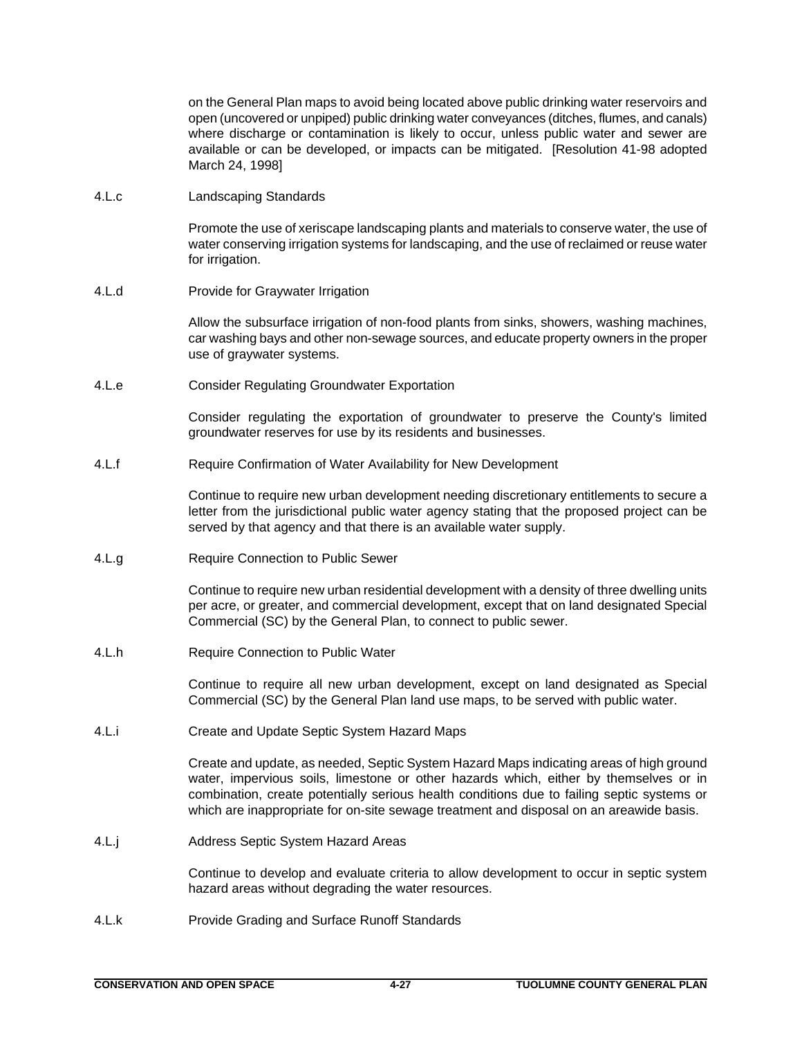on the General Plan maps to avoid being located above public drinking water reservoirs and open (uncovered or unpiped) public drinking water conveyances (ditches, flumes, and canals) where discharge or contamination is likely to occur, unless public water and sewer are available or can be developed, or impacts can be mitigated. [Resolution 41-98 adopted March 24, 1998]

4.L.c Landscaping Standards

Promote the use of xeriscape landscaping plants and materials to conserve water, the use of water conserving irrigation systems for landscaping, and the use of reclaimed or reuse water for irrigation.

4.L.d Provide for Graywater Irrigation

Allow the subsurface irrigation of non-food plants from sinks, showers, washing machines, car washing bays and other non-sewage sources, and educate property owners in the proper use of graywater systems.

4.L.e Consider Regulating Groundwater Exportation

Consider regulating the exportation of groundwater to preserve the County's limited groundwater reserves for use by its residents and businesses.

4.L.f Require Confirmation of Water Availability for New Development

Continue to require new urban development needing discretionary entitlements to secure a letter from the jurisdictional public water agency stating that the proposed project can be served by that agency and that there is an available water supply.

4.L.g Require Connection to Public Sewer

Continue to require new urban residential development with a density of three dwelling units per acre, or greater, and commercial development, except that on land designated Special Commercial (SC) by the General Plan, to connect to public sewer.

4.L.h Require Connection to Public Water

Continue to require all new urban development, except on land designated as Special Commercial (SC) by the General Plan land use maps, to be served with public water.

4.L.i Create and Update Septic System Hazard Maps

Create and update, as needed, Septic System Hazard Maps indicating areas of high ground water, impervious soils, limestone or other hazards which, either by themselves or in combination, create potentially serious health conditions due to failing septic systems or which are inappropriate for on-site sewage treatment and disposal on an areawide basis.

4.L.j Address Septic System Hazard Areas

Continue to develop and evaluate criteria to allow development to occur in septic system hazard areas without degrading the water resources.

4.L.k Provide Grading and Surface Runoff Standards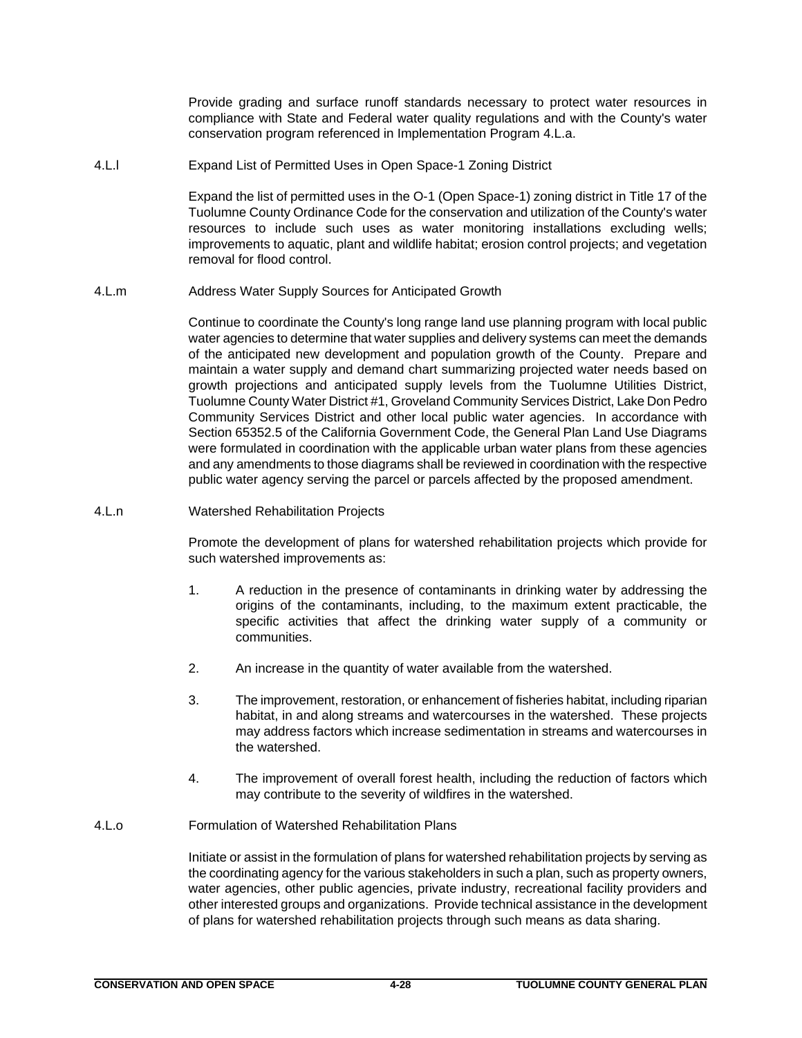Provide grading and surface runoff standards necessary to protect water resources in compliance with State and Federal water quality regulations and with the County's water conservation program referenced in Implementation Program 4.L.a.

4.L.l Expand List of Permitted Uses in Open Space-1 Zoning District

Expand the list of permitted uses in the O-1 (Open Space-1) zoning district in Title 17 of the Tuolumne County Ordinance Code for the conservation and utilization of the County's water resources to include such uses as water monitoring installations excluding wells; improvements to aquatic, plant and wildlife habitat; erosion control projects; and vegetation removal for flood control.

4.L.m Address Water Supply Sources for Anticipated Growth

Continue to coordinate the County's long range land use planning program with local public water agencies to determine that water supplies and delivery systems can meet the demands of the anticipated new development and population growth of the County. Prepare and maintain a water supply and demand chart summarizing projected water needs based on growth projections and anticipated supply levels from the Tuolumne Utilities District, Tuolumne County Water District #1, Groveland Community Services District, Lake Don Pedro Community Services District and other local public water agencies. In accordance with Section 65352.5 of the California Government Code, the General Plan Land Use Diagrams were formulated in coordination with the applicable urban water plans from these agencies and any amendments to those diagrams shall be reviewed in coordination with the respective public water agency serving the parcel or parcels affected by the proposed amendment.

4.L.n Watershed Rehabilitation Projects

Promote the development of plans for watershed rehabilitation projects which provide for such watershed improvements as:

- 1. A reduction in the presence of contaminants in drinking water by addressing the origins of the contaminants, including, to the maximum extent practicable, the specific activities that affect the drinking water supply of a community or communities.
- 2. An increase in the quantity of water available from the watershed.
- 3. The improvement, restoration, or enhancement of fisheries habitat, including riparian habitat, in and along streams and watercourses in the watershed. These projects may address factors which increase sedimentation in streams and watercourses in the watershed.
- 4. The improvement of overall forest health, including the reduction of factors which may contribute to the severity of wildfires in the watershed.
- 4.L.o Formulation of Watershed Rehabilitation Plans

Initiate or assist in the formulation of plans for watershed rehabilitation projects by serving as the coordinating agency for the various stakeholders in such a plan, such as property owners, water agencies, other public agencies, private industry, recreational facility providers and other interested groups and organizations. Provide technical assistance in the development of plans for watershed rehabilitation projects through such means as data sharing.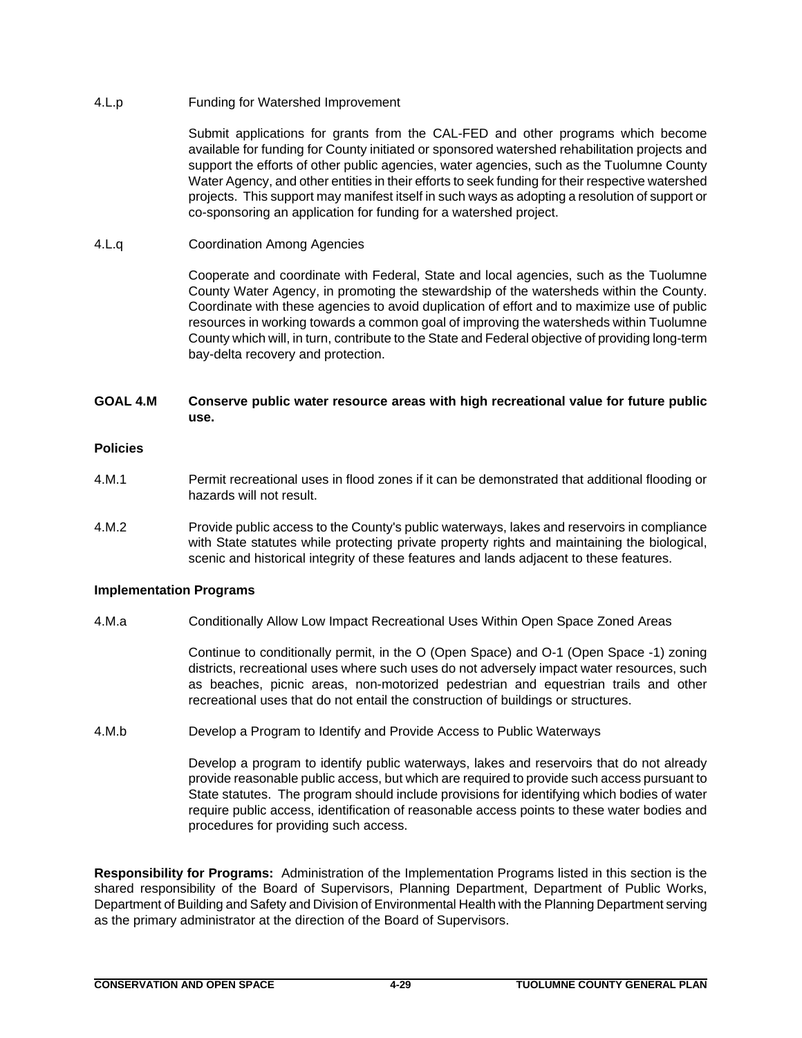4.L.p Funding for Watershed Improvement

Submit applications for grants from the CAL-FED and other programs which become available for funding for County initiated or sponsored watershed rehabilitation projects and support the efforts of other public agencies, water agencies, such as the Tuolumne County Water Agency, and other entities in their efforts to seek funding for their respective watershed projects. This support may manifest itself in such ways as adopting a resolution of support or co-sponsoring an application for funding for a watershed project.

## 4.L.q Coordination Among Agencies

Cooperate and coordinate with Federal, State and local agencies, such as the Tuolumne County Water Agency, in promoting the stewardship of the watersheds within the County. Coordinate with these agencies to avoid duplication of effort and to maximize use of public resources in working towards a common goal of improving the watersheds within Tuolumne County which will, in turn, contribute to the State and Federal objective of providing long-term bay-delta recovery and protection.

# **GOAL 4.M Conserve public water resource areas with high recreational value for future public use.**

# **Policies**

- 4.M.1 Permit recreational uses in flood zones if it can be demonstrated that additional flooding or hazards will not result.
- 4.M.2 Provide public access to the County's public waterways, lakes and reservoirs in compliance with State statutes while protecting private property rights and maintaining the biological, scenic and historical integrity of these features and lands adjacent to these features.

## **Implementation Programs**

4.M.a Conditionally Allow Low Impact Recreational Uses Within Open Space Zoned Areas

Continue to conditionally permit, in the O (Open Space) and O-1 (Open Space -1) zoning districts, recreational uses where such uses do not adversely impact water resources, such as beaches, picnic areas, non-motorized pedestrian and equestrian trails and other recreational uses that do not entail the construction of buildings or structures.

4.M.b Develop a Program to Identify and Provide Access to Public Waterways

Develop a program to identify public waterways, lakes and reservoirs that do not already provide reasonable public access, but which are required to provide such access pursuant to State statutes. The program should include provisions for identifying which bodies of water require public access, identification of reasonable access points to these water bodies and procedures for providing such access.

**Responsibility for Programs:** Administration of the Implementation Programs listed in this section is the shared responsibility of the Board of Supervisors, Planning Department, Department of Public Works, Department of Building and Safety and Division of Environmental Health with the Planning Department serving as the primary administrator at the direction of the Board of Supervisors.